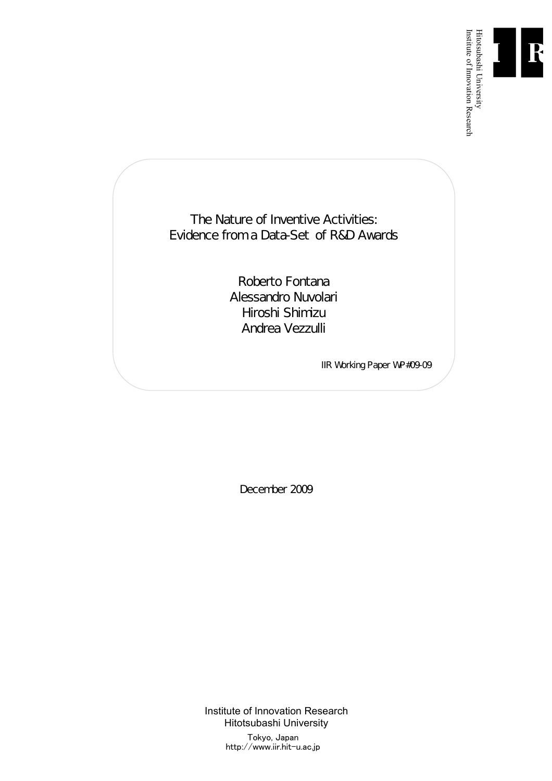

Institute of Innovation Research

The Nature of Inventive Activities: Evidence from a Data-Set of R&D Awards

> Roberto Fontana Alessandro Nuvolari Hiroshi Shimizu Andrea Vezzulli

> > IIR Working Paper WP#09-09

December 2009

Institute of Innovation Research Hitotsubashi University Tokyo, Japan

http://www.iir.hit-u.ac.jp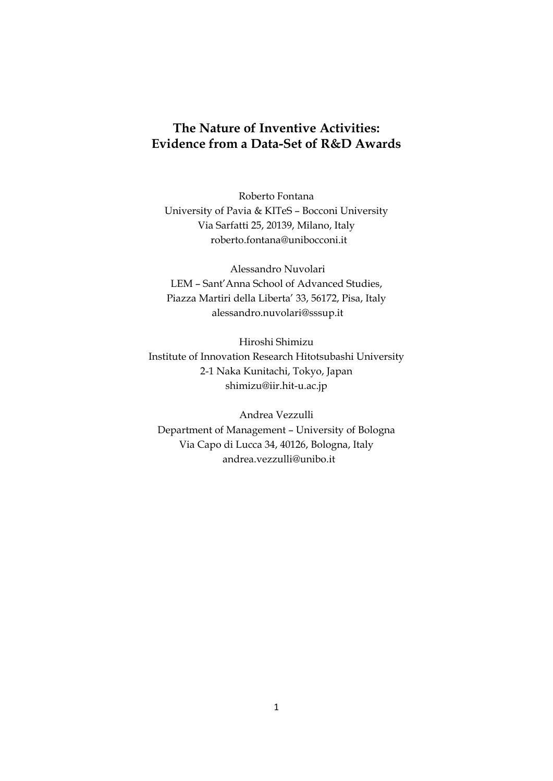# **The Nature of Inventive Activities: Evidence from a Data-Set of R&D Awards**

Roberto Fontana University of Pavia & KITeS – Bocconi University Via Sarfatti 25, 20139, Milano, Italy roberto.fontana@unibocconi.it

 Alessandro Nuvolari LEM – Sant'Anna School of Advanced Studies, Piazza Martiri della Liberta' 33, 56172, Pisa, Italy alessandro.nuvolari@sssup.it

Hiroshi Shimizu Institute of Innovation Research Hitotsubashi University 2-1 Naka Kunitachi, Tokyo, Japan shimizu@iir.hit-u.ac.jp

Andrea Vezzulli Department of Management – University of Bologna Via Capo di Lucca 34, 40126, Bologna, Italy andrea.vezzulli@unibo.it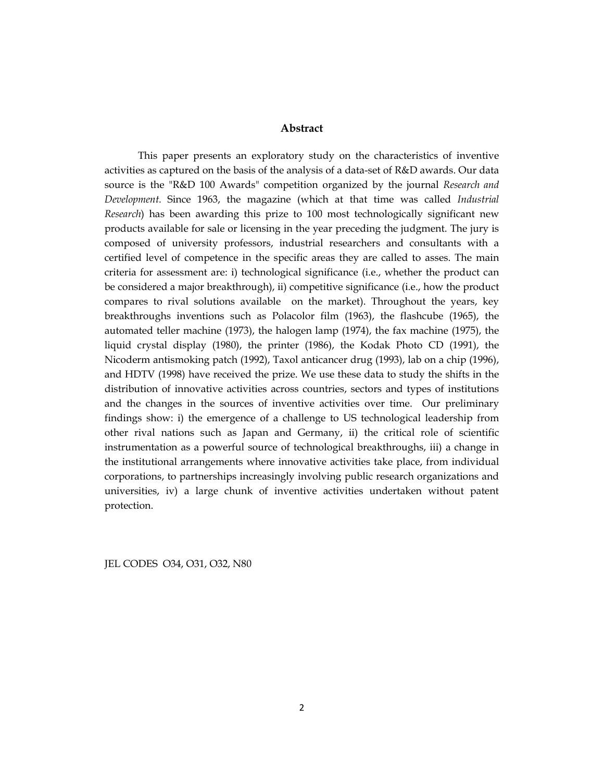### **Abstract**

This paper presents an exploratory study on the characteristics of inventive activities as captured on the basis of the analysis of a data-set of R&D awards. Our data source is the "R&D 100 Awards" competition organized by the journal *Research and Development.* Since 1963, the magazine (which at that time was called *Industrial Research*) has been awarding this prize to 100 most technologically significant new products available for sale or licensing in the year preceding the judgment. The jury is composed of university professors, industrial researchers and consultants with a certified level of competence in the specific areas they are called to asses. The main criteria for assessment are: i) technological significance (i.e., whether the product can be considered a major breakthrough), ii) competitive significance (i.e., how the product compares to rival solutions available on the market). Throughout the years, key breakthroughs inventions such as Polacolor film (1963), the flashcube (1965), the automated teller machine (1973), the halogen lamp (1974), the fax machine (1975), the liquid crystal display (1980), the printer (1986), the Kodak Photo CD (1991), the Nicoderm antismoking patch (1992), Taxol anticancer drug (1993), lab on a chip (1996), and HDTV (1998) have received the prize. We use these data to study the shifts in the distribution of innovative activities across countries, sectors and types of institutions and the changes in the sources of inventive activities over time. Our preliminary findings show: i) the emergence of a challenge to US technological leadership from other rival nations such as Japan and Germany, ii) the critical role of scientific instrumentation as a powerful source of technological breakthroughs, iii) a change in the institutional arrangements where innovative activities take place, from individual corporations, to partnerships increasingly involving public research organizations and universities, iv) a large chunk of inventive activities undertaken without patent protection.

JEL CODES O34, O31, O32, N80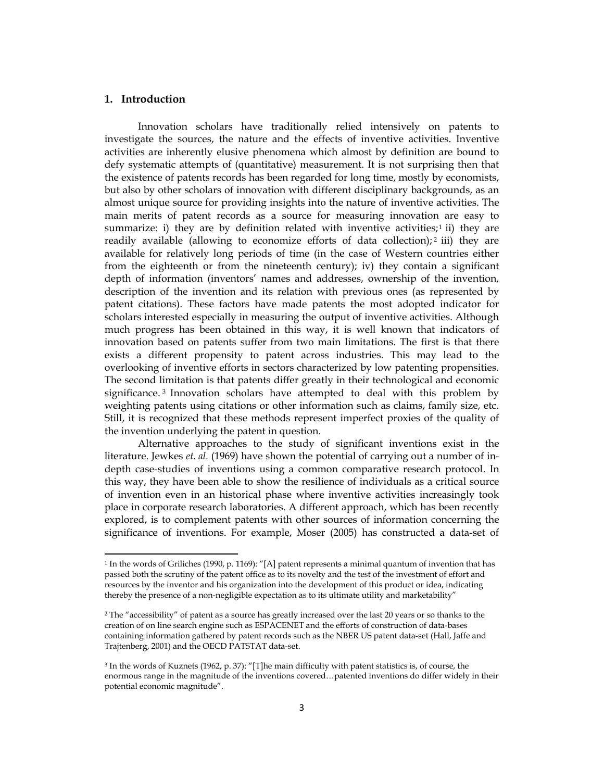### **1. Introduction**

Innovation scholars have traditionally relied intensively on patents to investigate the sources, the nature and the effects of inventive activities. Inventive activities are inherently elusive phenomena which almost by definition are bound to defy systematic attempts of (quantitative) measurement. It is not surprising then that the existence of patents records has been regarded for long time, mostly by economists, but also by other scholars of innovation with different disciplinary backgrounds, as an almost unique source for providing insights into the nature of inventive activities. The main merits of patent records as a source for measuring innovation are easy to summarize: i) they are by definition related with inventive activities;<sup>1</sup> ii) they are readily available (allowing to economize efforts of data collection);<sup>2</sup> iii) they are available for relatively long periods of time (in the case of Western countries either from the eighteenth or from the nineteenth century); iv) they contain a significant depth of information (inventors' names and addresses, ownership of the invention, description of the invention and its relation with previous ones (as represented by patent citations). These factors have made patents the most adopted indicator for scholars interested especially in measuring the output of inventive activities. Although much progress has been obtained in this way, it is well known that indicators of innovation based on patents suffer from two main limitations. The first is that there exists a different propensity to patent across industries. This may lead to the overlooking of inventive efforts in sectors characterized by low patenting propensities. The second limitation is that patents differ greatly in their technological and economic significance. 3 Innovation scholars have attempted to deal with this problem by weighting patents using citations or other information such as claims, family size, etc. Still, it is recognized that these methods represent imperfect proxies of the quality of the invention underlying the patent in question.

Alternative approaches to the study of significant inventions exist in the literature. Jewkes *et. al.* (1969) have shown the potential of carrying out a number of indepth case-studies of inventions using a common comparative research protocol. In this way, they have been able to show the resilience of individuals as a critical source of invention even in an historical phase where inventive activities increasingly took place in corporate research laboratories. A different approach, which has been recently explored, is to complement patents with other sources of information concerning the significance of inventions. For example, Moser (2005) has constructed a data-set of

<sup>1</sup> In the words of Griliches (1990, p. 1169): "[A] patent represents a minimal quantum of invention that has passed both the scrutiny of the patent office as to its novelty and the test of the investment of effort and resources by the inventor and his organization into the development of this product or idea, indicating thereby the presence of a non-negligible expectation as to its ultimate utility and marketability"

<sup>2</sup> The "accessibility" of patent as a source has greatly increased over the last 20 years or so thanks to the creation of on line search engine such as ESPACENET and the efforts of construction of data-bases containing information gathered by patent records such as the NBER US patent data-set (Hall, Jaffe and Trajtenberg, 2001) and the OECD PATSTAT data-set.

<sup>3</sup> In the words of Kuznets (1962, p. 37): "[T]he main difficulty with patent statistics is, of course, the enormous range in the magnitude of the inventions covered…patented inventions do differ widely in their potential economic magnitude".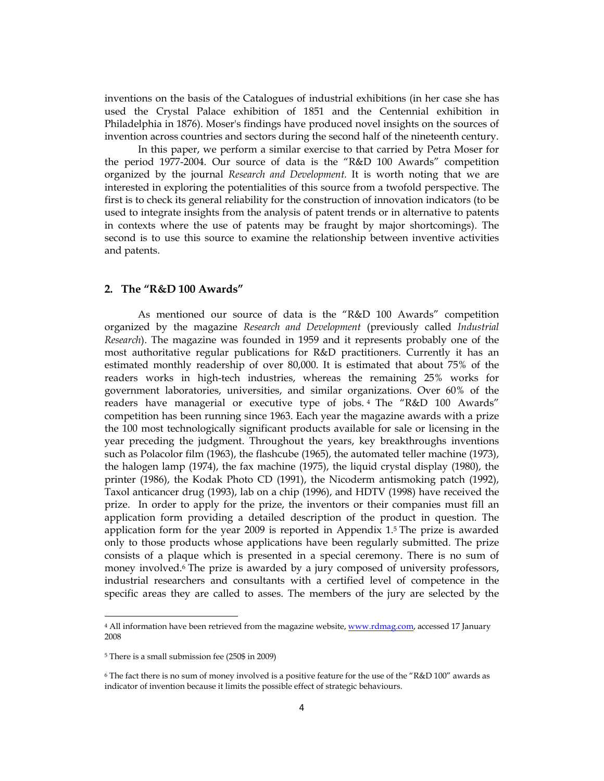inventions on the basis of the Catalogues of industrial exhibitions (in her case she has used the Crystal Palace exhibition of 1851 and the Centennial exhibition in Philadelphia in 1876). Moser's findings have produced novel insights on the sources of invention across countries and sectors during the second half of the nineteenth century.

In this paper, we perform a similar exercise to that carried by Petra Moser for the period 1977-2004. Our source of data is the "R&D 100 Awards" competition organized by the journal *Research and Development.* It is worth noting that we are interested in exploring the potentialities of this source from a twofold perspective. The first is to check its general reliability for the construction of innovation indicators (to be used to integrate insights from the analysis of patent trends or in alternative to patents in contexts where the use of patents may be fraught by major shortcomings). The second is to use this source to examine the relationship between inventive activities and patents.

### **2. The "R&D 100 Awards"**

As mentioned our source of data is the "R&D 100 Awards" competition organized by the magazine *Research and Development* (previously called *Industrial Research*). The magazine was founded in 1959 and it represents probably one of the most authoritative regular publications for R&D practitioners. Currently it has an estimated monthly readership of over 80,000. It is estimated that about 75% of the readers works in high-tech industries, whereas the remaining 25% works for government laboratories, universities, and similar organizations. Over 60% of the readers have managerial or executive type of jobs. 4 The "R&D 100 Awards" competition has been running since 1963. Each year the magazine awards with a prize the 100 most technologically significant products available for sale or licensing in the year preceding the judgment. Throughout the years, key breakthroughs inventions such as Polacolor film (1963), the flashcube (1965), the automated teller machine (1973), the halogen lamp (1974), the fax machine (1975), the liquid crystal display (1980), the printer (1986), the Kodak Photo CD (1991), the Nicoderm antismoking patch (1992), Taxol anticancer drug (1993), lab on a chip (1996), and HDTV (1998) have received the prize. In order to apply for the prize, the inventors or their companies must fill an application form providing a detailed description of the product in question. The application form for the year 2009 is reported in Appendix 1.5 The prize is awarded only to those products whose applications have been regularly submitted. The prize consists of a plaque which is presented in a special ceremony. There is no sum of money involved.6 The prize is awarded by a jury composed of university professors, industrial researchers and consultants with a certified level of competence in the specific areas they are called to asses. The members of the jury are selected by the

<sup>&</sup>lt;sup>4</sup> All information have been retrieved from the magazine website, www.rdmag.com, accessed 17 January 2008

<sup>5</sup> There is a small submission fee (250\$ in 2009)

<sup>6</sup> The fact there is no sum of money involved is a positive feature for the use of the "R&D 100" awards as indicator of invention because it limits the possible effect of strategic behaviours.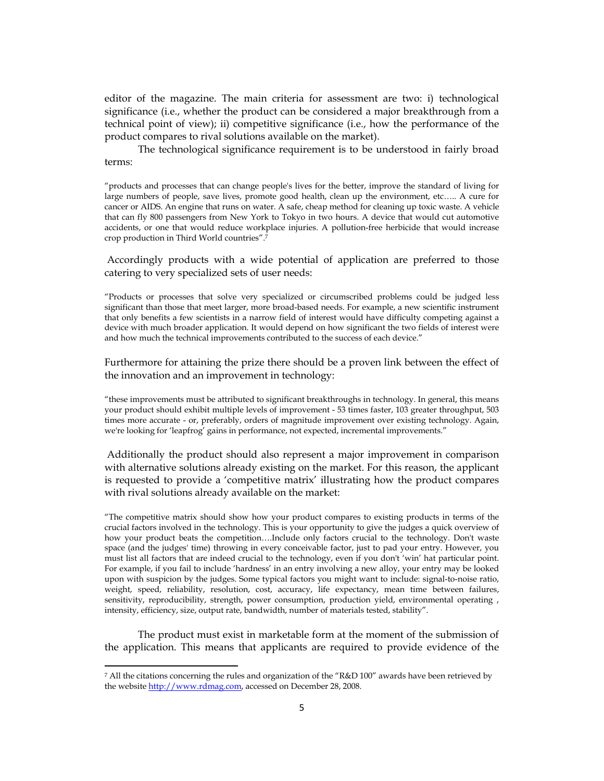editor of the magazine. The main criteria for assessment are two: i) technological significance (i.e., whether the product can be considered a major breakthrough from a technical point of view); ii) competitive significance (i.e., how the performance of the product compares to rival solutions available on the market).

The technological significance requirement is to be understood in fairly broad terms:

"products and processes that can change people's lives for the better, improve the standard of living for large numbers of people, save lives, promote good health, clean up the environment, etc….. A cure for cancer or AIDS. An engine that runs on water. A safe, cheap method for cleaning up toxic waste. A vehicle that can fly 800 passengers from New York to Tokyo in two hours. A device that would cut automotive accidents, or one that would reduce workplace injuries. A pollution-free herbicide that would increase crop production in Third World countries".7

 Accordingly products with a wide potential of application are preferred to those catering to very specialized sets of user needs:

"Products or processes that solve very specialized or circumscribed problems could be judged less significant than those that meet larger, more broad-based needs. For example, a new scientific instrument that only benefits a few scientists in a narrow field of interest would have difficulty competing against a device with much broader application. It would depend on how significant the two fields of interest were and how much the technical improvements contributed to the success of each device."

Furthermore for attaining the prize there should be a proven link between the effect of the innovation and an improvement in technology:

"these improvements must be attributed to significant breakthroughs in technology. In general, this means your product should exhibit multiple levels of improvement - 53 times faster, 103 greater throughput, 503 times more accurate - or, preferably, orders of magnitude improvement over existing technology. Again, we're looking for 'leapfrog' gains in performance, not expected, incremental improvements."

 Additionally the product should also represent a major improvement in comparison with alternative solutions already existing on the market. For this reason, the applicant is requested to provide a 'competitive matrix' illustrating how the product compares with rival solutions already available on the market:

"The competitive matrix should show how your product compares to existing products in terms of the crucial factors involved in the technology. This is your opportunity to give the judges a quick overview of how your product beats the competition….Include only factors crucial to the technology. Don't waste space (and the judges' time) throwing in every conceivable factor, just to pad your entry. However, you must list all factors that are indeed crucial to the technology, even if you don't 'win' hat particular point. For example, if you fail to include 'hardness' in an entry involving a new alloy, your entry may be looked upon with suspicion by the judges. Some typical factors you might want to include: signal-to-noise ratio, weight, speed, reliability, resolution, cost, accuracy, life expectancy, mean time between failures, sensitivity, reproducibility, strength, power consumption, production yield, environmental operating , intensity, efficiency, size, output rate, bandwidth, number of materials tested, stability".

The product must exist in marketable form at the moment of the submission of the application. This means that applicants are required to provide evidence of the

<sup>7</sup> All the citations concerning the rules and organization of the "R&D 100" awards have been retrieved by the website http://www.rdmag.com, accessed on December 28, 2008.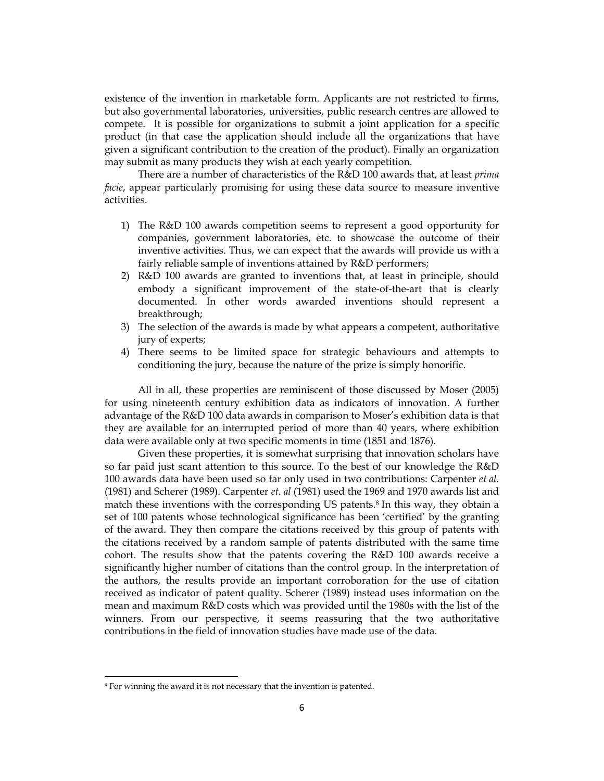existence of the invention in marketable form. Applicants are not restricted to firms, but also governmental laboratories, universities, public research centres are allowed to compete. It is possible for organizations to submit a joint application for a specific product (in that case the application should include all the organizations that have given a significant contribution to the creation of the product). Finally an organization may submit as many products they wish at each yearly competition.

There are a number of characteristics of the R&D 100 awards that, at least *prima facie*, appear particularly promising for using these data source to measure inventive activities.

- 1) The R&D 100 awards competition seems to represent a good opportunity for companies, government laboratories, etc. to showcase the outcome of their inventive activities. Thus, we can expect that the awards will provide us with a fairly reliable sample of inventions attained by R&D performers;
- 2) R&D 100 awards are granted to inventions that, at least in principle, should embody a significant improvement of the state-of-the-art that is clearly documented. In other words awarded inventions should represent a breakthrough;
- 3) The selection of the awards is made by what appears a competent, authoritative jury of experts;
- 4) There seems to be limited space for strategic behaviours and attempts to conditioning the jury, because the nature of the prize is simply honorific.

All in all, these properties are reminiscent of those discussed by Moser (2005) for using nineteenth century exhibition data as indicators of innovation. A further advantage of the R&D 100 data awards in comparison to Moser's exhibition data is that they are available for an interrupted period of more than 40 years, where exhibition data were available only at two specific moments in time (1851 and 1876).

Given these properties, it is somewhat surprising that innovation scholars have so far paid just scant attention to this source. To the best of our knowledge the R&D 100 awards data have been used so far only used in two contributions: Carpenter *et al.* (1981) and Scherer (1989). Carpenter *et. al* (1981) used the 1969 and 1970 awards list and match these inventions with the corresponding US patents.8 In this way, they obtain a set of 100 patents whose technological significance has been 'certified' by the granting of the award. They then compare the citations received by this group of patents with the citations received by a random sample of patents distributed with the same time cohort. The results show that the patents covering the R&D 100 awards receive a significantly higher number of citations than the control group. In the interpretation of the authors, the results provide an important corroboration for the use of citation received as indicator of patent quality. Scherer (1989) instead uses information on the mean and maximum R&D costs which was provided until the 1980s with the list of the winners. From our perspective, it seems reassuring that the two authoritative contributions in the field of innovation studies have made use of the data.

<sup>8</sup> For winning the award it is not necessary that the invention is patented.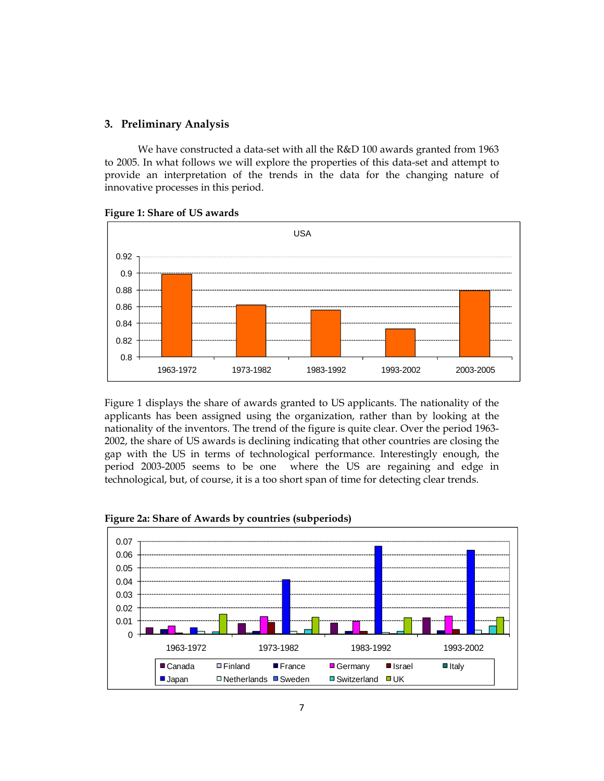# **3. Preliminary Analysis**

We have constructed a data-set with all the R&D 100 awards granted from 1963 to 2005. In what follows we will explore the properties of this data-set and attempt to provide an interpretation of the trends in the data for the changing nature of innovative processes in this period.



**Figure 1: Share of US awards** 

Figure 1 displays the share of awards granted to US applicants. The nationality of the applicants has been assigned using the organization, rather than by looking at the nationality of the inventors. The trend of the figure is quite clear. Over the period 1963- 2002, the share of US awards is declining indicating that other countries are closing the gap with the US in terms of technological performance. Interestingly enough, the period 2003-2005 seems to be one where the US are regaining and edge in technological, but, of course, it is a too short span of time for detecting clear trends.



**Figure 2a: Share of Awards by countries (subperiods)**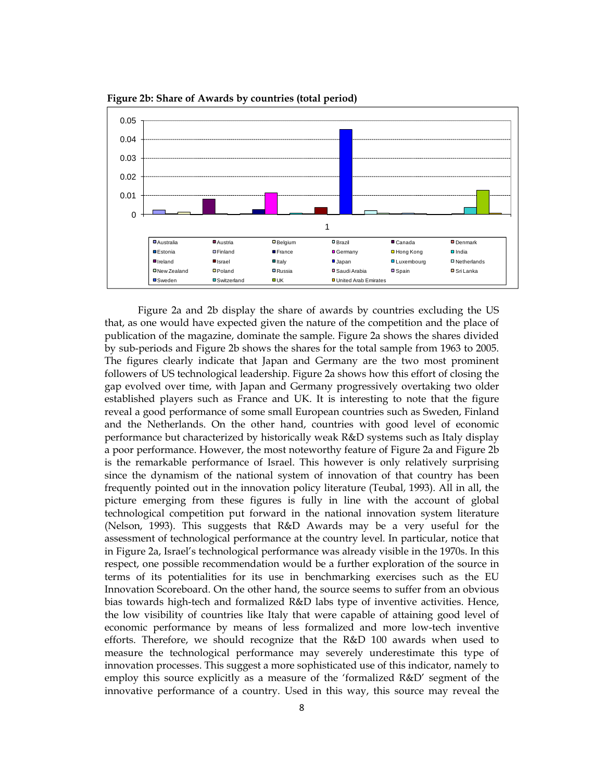

**Figure 2b: Share of Awards by countries (total period)** 

Figure 2a and 2b display the share of awards by countries excluding the US that, as one would have expected given the nature of the competition and the place of publication of the magazine, dominate the sample. Figure 2a shows the shares divided by sub-periods and Figure 2b shows the shares for the total sample from 1963 to 2005. The figures clearly indicate that Japan and Germany are the two most prominent followers of US technological leadership. Figure 2a shows how this effort of closing the gap evolved over time, with Japan and Germany progressively overtaking two older established players such as France and UK. It is interesting to note that the figure reveal a good performance of some small European countries such as Sweden, Finland and the Netherlands. On the other hand, countries with good level of economic performance but characterized by historically weak R&D systems such as Italy display a poor performance. However, the most noteworthy feature of Figure 2a and Figure 2b is the remarkable performance of Israel. This however is only relatively surprising since the dynamism of the national system of innovation of that country has been frequently pointed out in the innovation policy literature (Teubal, 1993). All in all, the picture emerging from these figures is fully in line with the account of global technological competition put forward in the national innovation system literature (Nelson, 1993). This suggests that R&D Awards may be a very useful for the assessment of technological performance at the country level. In particular, notice that in Figure 2a, Israel's technological performance was already visible in the 1970s. In this respect, one possible recommendation would be a further exploration of the source in terms of its potentialities for its use in benchmarking exercises such as the EU Innovation Scoreboard. On the other hand, the source seems to suffer from an obvious bias towards high-tech and formalized R&D labs type of inventive activities. Hence, the low visibility of countries like Italy that were capable of attaining good level of economic performance by means of less formalized and more low-tech inventive efforts. Therefore, we should recognize that the R&D 100 awards when used to measure the technological performance may severely underestimate this type of innovation processes. This suggest a more sophisticated use of this indicator, namely to employ this source explicitly as a measure of the 'formalized R&D' segment of the innovative performance of a country. Used in this way, this source may reveal the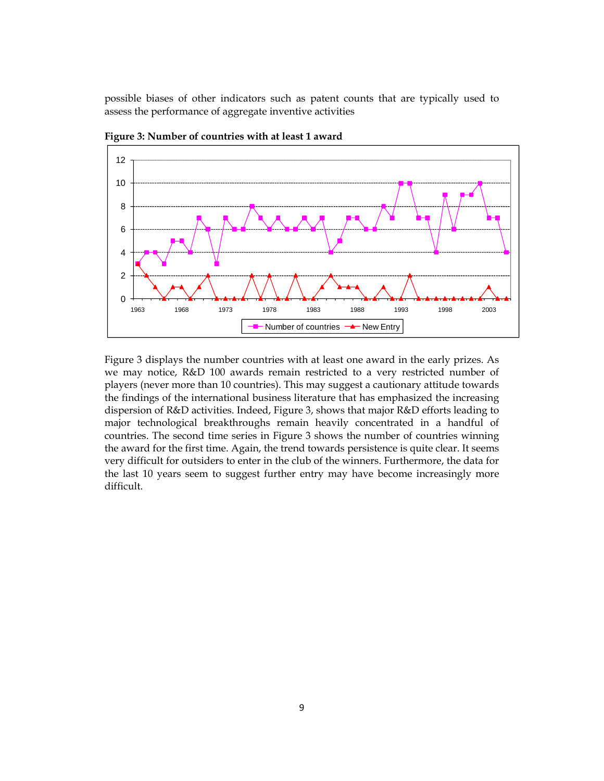possible biases of other indicators such as patent counts that are typically used to assess the performance of aggregate inventive activities



**Figure 3: Number of countries with at least 1 award** 

Figure 3 displays the number countries with at least one award in the early prizes. As we may notice, R&D 100 awards remain restricted to a very restricted number of players (never more than 10 countries). This may suggest a cautionary attitude towards the findings of the international business literature that has emphasized the increasing dispersion of R&D activities. Indeed, Figure 3, shows that major R&D efforts leading to major technological breakthroughs remain heavily concentrated in a handful of countries. The second time series in Figure 3 shows the number of countries winning the award for the first time. Again, the trend towards persistence is quite clear. It seems very difficult for outsiders to enter in the club of the winners. Furthermore, the data for the last 10 years seem to suggest further entry may have become increasingly more difficult.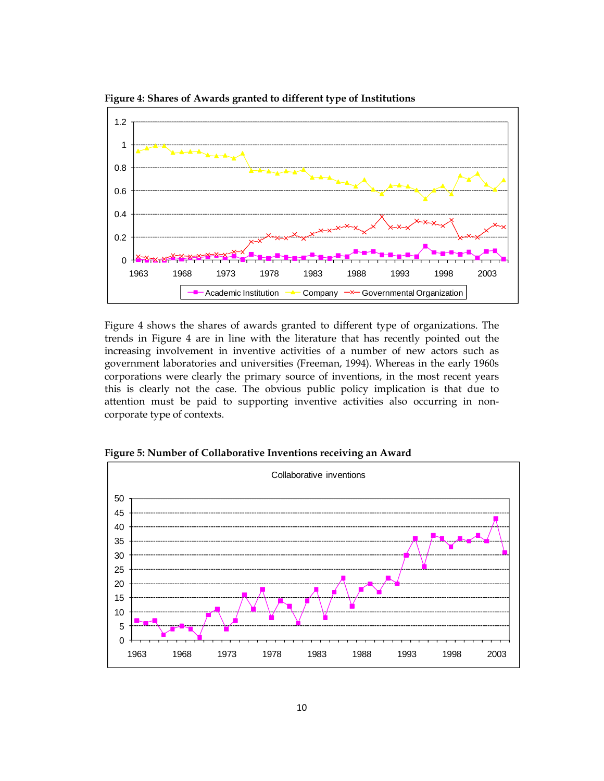

Figure 4 shows the shares of awards granted to different type of organizations. The trends in Figure 4 are in line with the literature that has recently pointed out the increasing involvement in inventive activities of a number of new actors such as government laboratories and universities (Freeman, 1994). Whereas in the early 1960s corporations were clearly the primary source of inventions, in the most recent years this is clearly not the case. The obvious public policy implication is that due to attention must be paid to supporting inventive activities also occurring in noncorporate type of contexts.



**Figure 5: Number of Collaborative Inventions receiving an Award** 

**Figure 4: Shares of Awards granted to different type of Institutions**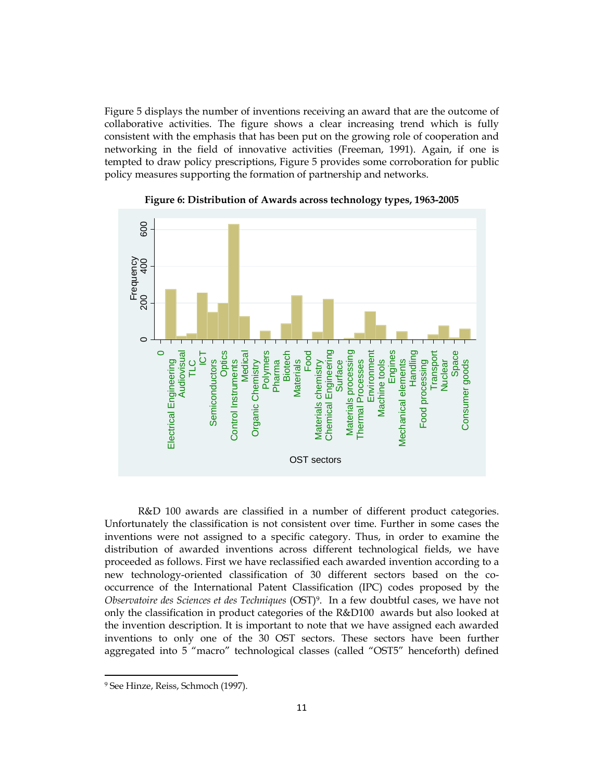Figure 5 displays the number of inventions receiving an award that are the outcome of collaborative activities. The figure shows a clear increasing trend which is fully consistent with the emphasis that has been put on the growing role of cooperation and networking in the field of innovative activities (Freeman, 1991). Again, if one is tempted to draw policy prescriptions, Figure 5 provides some corroboration for public policy measures supporting the formation of partnership and networks.



**Figure 6: Distribution of Awards across technology types, 1963-2005** 

R&D 100 awards are classified in a number of different product categories. Unfortunately the classification is not consistent over time. Further in some cases the inventions were not assigned to a specific category. Thus, in order to examine the distribution of awarded inventions across different technological fields, we have proceeded as follows. First we have reclassified each awarded invention according to a new technology-oriented classification of 30 different sectors based on the cooccurrence of the International Patent Classification (IPC) codes proposed by the *Observatoire des Sciences et des Techniques* (OST)9. In a few doubtful cases, we have not only the classification in product categories of the R&D100 awards but also looked at the invention description. It is important to note that we have assigned each awarded inventions to only one of the 30 OST sectors. These sectors have been further aggregated into 5 "macro" technological classes (called "OST5" henceforth) defined

 9 See Hinze, Reiss, Schmoch (1997).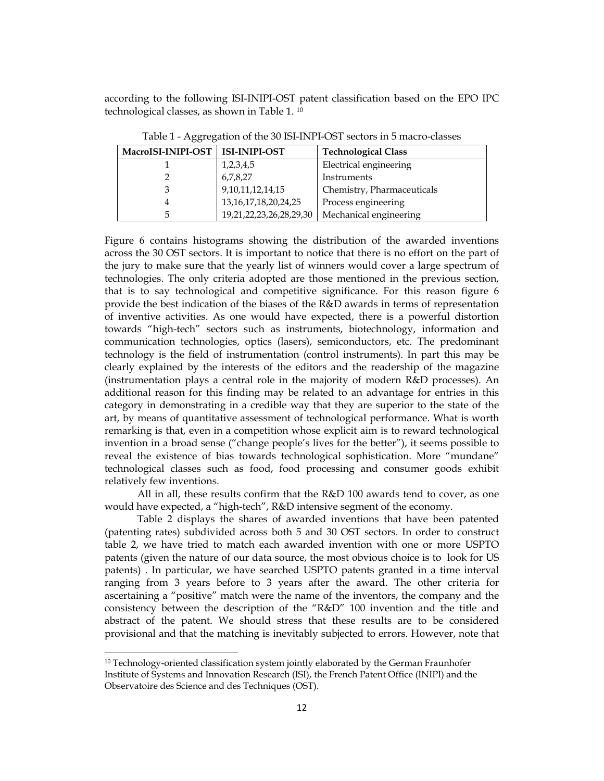according to the following ISI-INIPI-OST patent classification based on the EPO IPC technological classes, as shown in Table 1. 10

|                              | MacroISI-INIPI-OST   ISI-INIPI-OST |                       | <b>Technological Class</b> |  |  |
|------------------------------|------------------------------------|-----------------------|----------------------------|--|--|
|                              |                                    |                       | Electrical engineering     |  |  |
|                              | 1,2,3,4,5<br>6,7,8,27<br>っ         |                       | Instruments                |  |  |
|                              | 3                                  | 9, 10, 11, 12, 14, 15 | Chemistry, Pharmaceuticals |  |  |
|                              | 13, 16, 17, 18, 20, 24, 25<br>4    |                       | Process engineering        |  |  |
| 19,21,22,23,26,28,29,30<br>5 |                                    |                       | Mechanical engineering     |  |  |

Table 1 - Aggregation of the 30 ISI-INPI-OST sectors in 5 macro-classes

Figure 6 contains histograms showing the distribution of the awarded inventions across the 30 OST sectors. It is important to notice that there is no effort on the part of the jury to make sure that the yearly list of winners would cover a large spectrum of technologies. The only criteria adopted are those mentioned in the previous section, that is to say technological and competitive significance. For this reason figure 6 provide the best indication of the biases of the R&D awards in terms of representation of inventive activities. As one would have expected, there is a powerful distortion towards "high-tech" sectors such as instruments, biotechnology, information and communication technologies, optics (lasers), semiconductors, etc. The predominant technology is the field of instrumentation (control instruments). In part this may be clearly explained by the interests of the editors and the readership of the magazine (instrumentation plays a central role in the majority of modern R&D processes). An additional reason for this finding may be related to an advantage for entries in this category in demonstrating in a credible way that they are superior to the state of the art, by means of quantitative assessment of technological performance. What is worth remarking is that, even in a competition whose explicit aim is to reward technological invention in a broad sense ("change people's lives for the better"), it seems possible to reveal the existence of bias towards technological sophistication. More "mundane" technological classes such as food, food processing and consumer goods exhibit relatively few inventions.

 All in all, these results confirm that the R&D 100 awards tend to cover, as one would have expected, a "high-tech", R&D intensive segment of the economy.

 Table 2 displays the shares of awarded inventions that have been patented (patenting rates) subdivided across both 5 and 30 OST sectors. In order to construct table 2, we have tried to match each awarded invention with one or more USPTO patents (given the nature of our data source, the most obvious choice is to look for US patents) . In particular, we have searched USPTO patents granted in a time interval ranging from 3 years before to 3 years after the award. The other criteria for ascertaining a "positive" match were the name of the inventors, the company and the consistency between the description of the "R&D" 100 invention and the title and abstract of the patent. We should stress that these results are to be considered provisional and that the matching is inevitably subjected to errors. However, note that

<sup>&</sup>lt;sup>10</sup> Technology-oriented classification system jointly elaborated by the German Fraunhofer Institute of Systems and Innovation Research (ISI), the French Patent Office (INIPI) and the Observatoire des Science and des Techniques (OST).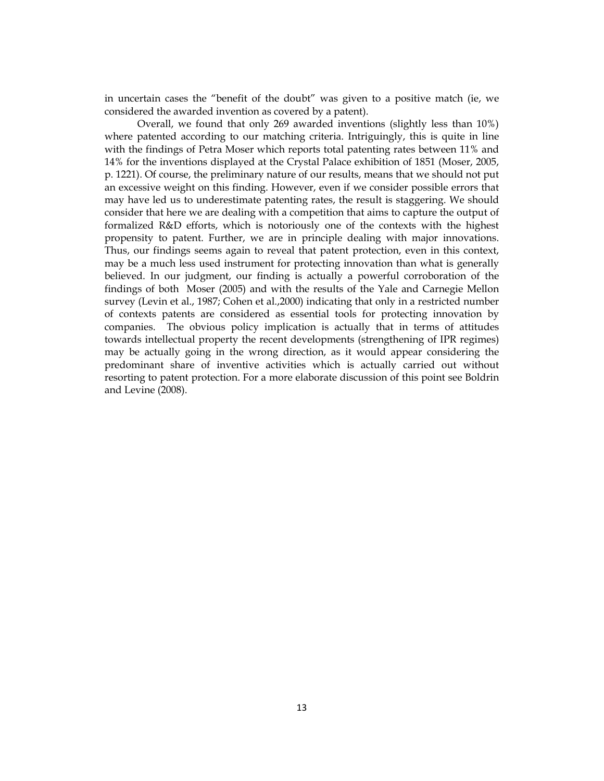in uncertain cases the "benefit of the doubt" was given to a positive match (ie, we considered the awarded invention as covered by a patent).

 Overall, we found that only 269 awarded inventions (slightly less than 10%) where patented according to our matching criteria. Intriguingly, this is quite in line with the findings of Petra Moser which reports total patenting rates between 11% and 14% for the inventions displayed at the Crystal Palace exhibition of 1851 (Moser, 2005, p. 1221). Of course, the preliminary nature of our results, means that we should not put an excessive weight on this finding. However, even if we consider possible errors that may have led us to underestimate patenting rates, the result is staggering. We should consider that here we are dealing with a competition that aims to capture the output of formalized R&D efforts, which is notoriously one of the contexts with the highest propensity to patent. Further, we are in principle dealing with major innovations. Thus, our findings seems again to reveal that patent protection, even in this context, may be a much less used instrument for protecting innovation than what is generally believed. In our judgment, our finding is actually a powerful corroboration of the findings of both Moser (2005) and with the results of the Yale and Carnegie Mellon survey (Levin et al., 1987; Cohen et al.,2000) indicating that only in a restricted number of contexts patents are considered as essential tools for protecting innovation by companies. The obvious policy implication is actually that in terms of attitudes towards intellectual property the recent developments (strengthening of IPR regimes) may be actually going in the wrong direction, as it would appear considering the predominant share of inventive activities which is actually carried out without resorting to patent protection. For a more elaborate discussion of this point see Boldrin and Levine (2008).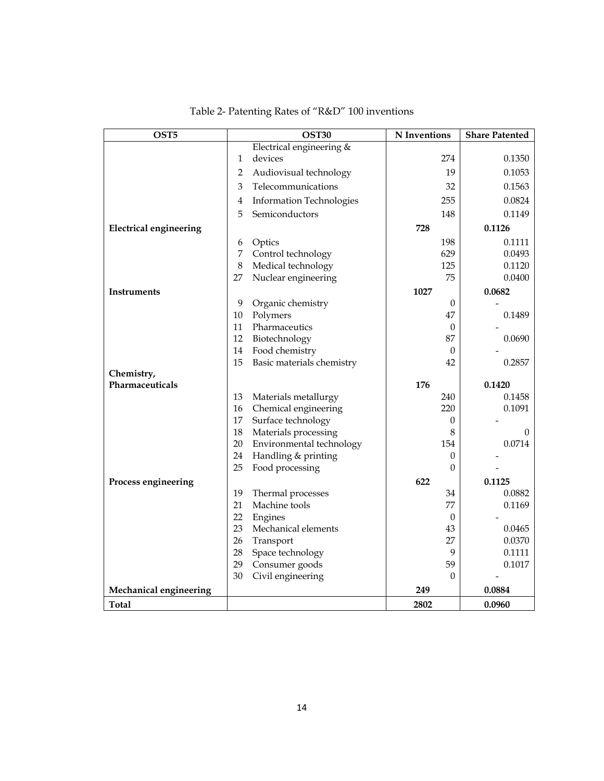| OST <sub>5</sub>              |                          | OST30                           | N Inventions     | <b>Share Patented</b> |  |
|-------------------------------|--------------------------|---------------------------------|------------------|-----------------------|--|
|                               | Electrical engineering & |                                 |                  |                       |  |
|                               | $\mathbf{1}$             | devices                         | 274              | 0.1350                |  |
|                               | 2                        | Audiovisual technology          | 19               | 0.1053                |  |
|                               | 3                        | Telecommunications              | 32               | 0.1563                |  |
|                               | 4                        | <b>Information Technologies</b> | 255              | 0.0824                |  |
|                               | 5                        | Semiconductors                  | 148              | 0.1149                |  |
| <b>Electrical engineering</b> |                          |                                 | 728              | 0.1126                |  |
|                               | 6                        | Optics                          | 198              | 0.1111                |  |
|                               | $\overline{7}$           | Control technology              | 629              | 0.0493                |  |
|                               | 8                        | Medical technology              | 125              | 0.1120                |  |
|                               | 27                       | Nuclear engineering             | 75               | 0.0400                |  |
| <b>Instruments</b>            |                          |                                 | 1027             | 0.0682                |  |
|                               | 9                        | Organic chemistry               | $\theta$         |                       |  |
|                               | 10                       | Polymers                        | 47               | 0.1489                |  |
|                               | 11                       | Pharmaceutics                   | $\theta$         |                       |  |
|                               | 12                       | Biotechnology                   | 87               | 0.0690                |  |
|                               | 14                       | Food chemistry                  | $\boldsymbol{0}$ |                       |  |
|                               | 15                       | Basic materials chemistry       | 42               | 0.2857                |  |
| Chemistry,                    |                          |                                 |                  |                       |  |
| Pharmaceuticals               |                          |                                 | 176              | 0.1420                |  |
|                               | 13                       | Materials metallurgy            | 240              | 0.1458                |  |
|                               | 16                       | Chemical engineering            | 220              | 0.1091                |  |
|                               |                          | Surface technology              | $\theta$         |                       |  |
|                               | 18                       | Materials processing            | 8                | $\theta$              |  |
|                               | 20                       | Environmental technology        | 154              | 0.0714                |  |
|                               | 24                       | Handling & printing             | $\theta$         |                       |  |
|                               | 25                       | Food processing                 | $\Omega$         |                       |  |
| Process engineering           |                          |                                 | 622              | 0.1125                |  |
|                               | 19                       | Thermal processes               | 34               | 0.0882                |  |
|                               | 21                       | Machine tools                   | 77               | 0.1169                |  |
|                               | 22                       | Engines                         | $\theta$         |                       |  |
|                               | 23                       | Mechanical elements             | 43               | 0.0465                |  |
|                               | 26                       | Transport                       | 27               | 0.0370                |  |
|                               | 28                       | Space technology                | 9                | 0.1111                |  |
|                               | 29                       | Consumer goods                  | 59               | 0.1017                |  |
|                               | 30                       | Civil engineering               | $\theta$         |                       |  |
| <b>Mechanical engineering</b> |                          |                                 | 249              | 0.0884                |  |
| <b>Total</b>                  |                          |                                 | 2802             | 0.0960                |  |

Table 2- Patenting Rates of "R&D" 100 inventions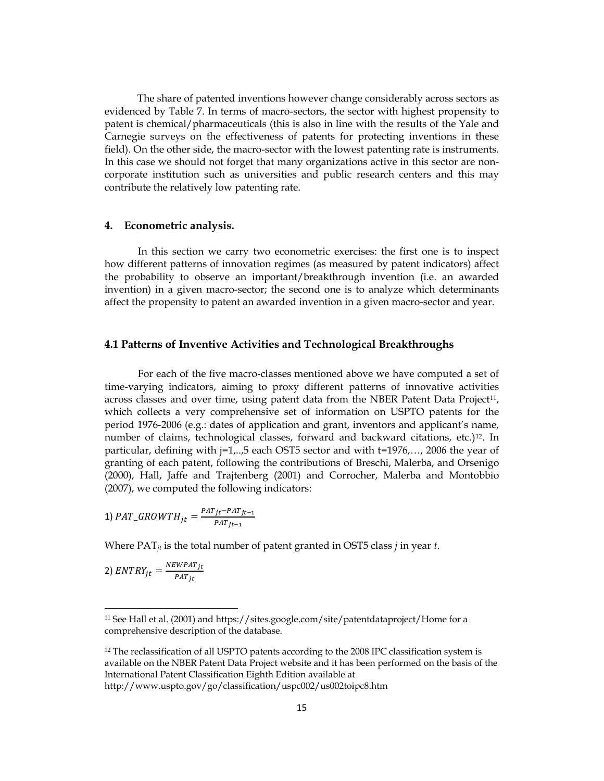The share of patented inventions however change considerably across sectors as evidenced by Table 7. In terms of macro-sectors, the sector with highest propensity to patent is chemical/pharmaceuticals (this is also in line with the results of the Yale and Carnegie surveys on the effectiveness of patents for protecting inventions in these field). On the other side, the macro-sector with the lowest patenting rate is instruments. In this case we should not forget that many organizations active in this sector are noncorporate institution such as universities and public research centers and this may contribute the relatively low patenting rate.

### **4. Econometric analysis.**

In this section we carry two econometric exercises: the first one is to inspect how different patterns of innovation regimes (as measured by patent indicators) affect the probability to observe an important/breakthrough invention (i.e. an awarded invention) in a given macro-sector; the second one is to analyze which determinants affect the propensity to patent an awarded invention in a given macro-sector and year.

### **4.1 Patterns of Inventive Activities and Technological Breakthroughs**

For each of the five macro-classes mentioned above we have computed a set of time-varying indicators, aiming to proxy different patterns of innovative activities across classes and over time, using patent data from the NBER Patent Data Project<sup>11</sup>, which collects a very comprehensive set of information on USPTO patents for the period 1976-2006 (e.g.: dates of application and grant, inventors and applicant's name, number of claims, technological classes, forward and backward citations, etc.)12. In particular, defining with j=1,..,5 each OST5 sector and with t=1976,…, 2006 the year of granting of each patent, following the contributions of Breschi, Malerba, and Orsenigo (2000), Hall, Jaffe and Trajtenberg (2001) and Corrocher, Malerba and Montobbio (2007), we computed the following indicators:

$$
1) \, PAT\_GROWTH_{jt} = \frac{PAT_{jt} - PAT_{jt-1}}{PAT_{jt-1}}
$$

Where PAT*jt* is the total number of patent granted in OST5 class *j* in year *t*.

2)  $ENTRY_{jt} = \frac{NEWPATH_{jt}}{PATH_{jt}}$ 

<sup>&</sup>lt;sup>11</sup> See Hall et al. (2001) and https://sites.google.com/site/patentdataproject/Home for a comprehensive description of the database.

<sup>&</sup>lt;sup>12</sup> The reclassification of all USPTO patents according to the 2008 IPC classification system is available on the NBER Patent Data Project website and it has been performed on the basis of the International Patent Classification Eighth Edition available at http://www.uspto.gov/go/classification/uspc002/us002toipc8.htm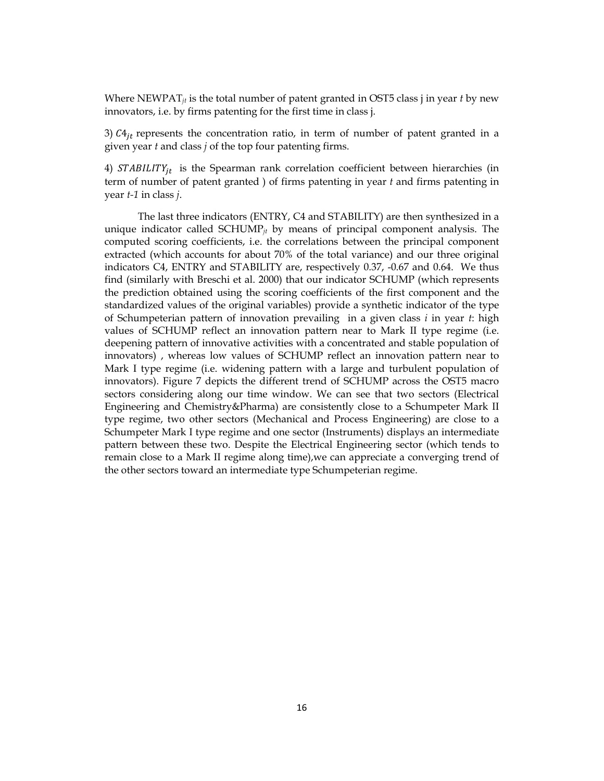Where NEWPAT<sub>*it*</sub> is the total number of patent granted in OST5 class *j* in year *t* by new innovators, i.e. by firms patenting for the first time in class j.

3)  $CA_{it}$  represents the concentration ratio, in term of number of patent granted in a given year *t* and class *j* of the top four patenting firms.

4)  $STABILITY_{it}$  is the Spearman rank correlation coefficient between hierarchies (in term of number of patent granted ) of firms patenting in year *t* and firms patenting in year *t-1* in class *j*.

The last three indicators (ENTRY, C4 and STABILITY) are then synthesized in a unique indicator called SCHUMP*jt* by means of principal component analysis. The computed scoring coefficients, i.e. the correlations between the principal component extracted (which accounts for about 70% of the total variance) and our three original indicators C4, ENTRY and STABILITY are, respectively 0.37, -0.67 and 0.64. We thus find (similarly with Breschi et al. 2000) that our indicator SCHUMP (which represents the prediction obtained using the scoring coefficients of the first component and the standardized values of the original variables) provide a synthetic indicator of the type of Schumpeterian pattern of innovation prevailing in a given class *i* in year *t*: high values of SCHUMP reflect an innovation pattern near to Mark II type regime (i.e. deepening pattern of innovative activities with a concentrated and stable population of innovators) , whereas low values of SCHUMP reflect an innovation pattern near to Mark I type regime (i.e. widening pattern with a large and turbulent population of innovators). Figure 7 depicts the different trend of SCHUMP across the OST5 macro sectors considering along our time window. We can see that two sectors (Electrical Engineering and Chemistry&Pharma) are consistently close to a Schumpeter Mark II type regime, two other sectors (Mechanical and Process Engineering) are close to a Schumpeter Mark I type regime and one sector (Instruments) displays an intermediate pattern between these two. Despite the Electrical Engineering sector (which tends to remain close to a Mark II regime along time),we can appreciate a converging trend of the other sectors toward an intermediate type Schumpeterian regime.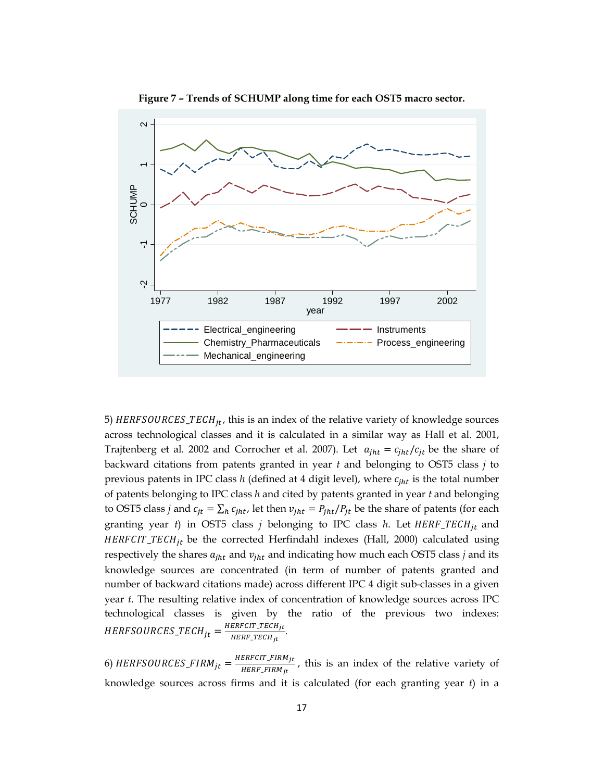

**Figure 7 – Trends of SCHUMP along time for each OST5 macro sector.** 

5) HERFSOURCES\_TECH<sub>its</sub>, this is an index of the relative variety of knowledge sources across technological classes and it is calculated in a similar way as Hall et al. 2001, Trajtenberg et al. 2002 and Corrocher et al. 2007). Let  $a_{iht} = c_{iht}/c_{it}$  be the share of backward citations from patents granted in year *t* and belonging to OST5 class *j* to previous patents in IPC class *h* (defined at 4 digit level), where  $c_{iht}$  is the total number of patents belonging to IPC class *h* and cited by patents granted in year *t* and belonging to OST5 class *j* and  $c_{it} = \sum_h c_{iht}$ , let then  $v_{iht} = P_{iht}/P_{it}$  be the share of patents (for each granting year *t*) in OST5 class *j* belonging to IPC class *h*. Let HERF\_TECH<sub>it</sub> and  $HERFCIT_TECH_{jt}$  be the corrected Herfindahl indexes (Hall, 2000) calculated using respectively the shares  $a_{iht}$  and  $v_{iht}$  and indicating how much each OST5 class *j* and its knowledge sources are concentrated (in term of number of patents granted and number of backward citations made) across different IPC 4 digit sub-classes in a given year *t*. The resulting relative index of concentration of knowledge sources across IPC technological classes is given by the ratio of the previous two indexes:  $HERFSOURCES\_TECH_{jt} = \frac{HERFCT\_TECH_{jt}}{HERF\_TECH_{jt}}.$ 

6) HERFSOURCES\_FIRM<sub>jt</sub> =  $\frac{HERFCIT\_FIRM_{jt}}{HERF\_FIRM_{jt}}$ , this is an index of the relative variety of knowledge sources across firms and it is calculated (for each granting year *t*) in a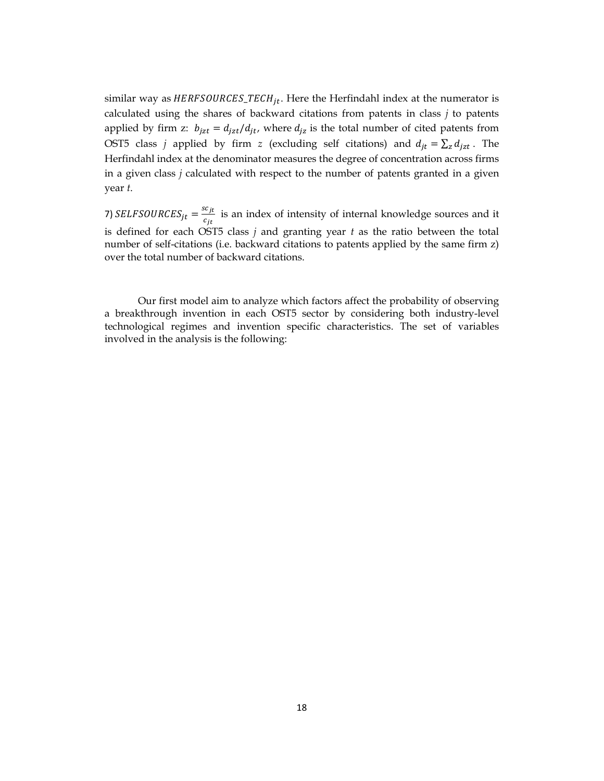similar way as  $HERFSOURCES_TECH_{it}$ . Here the Herfindahl index at the numerator is calculated using the shares of backward citations from patents in class *j* to patents applied by firm z:  $b_{jzt} = d_{jzt}/d_{jt}$ , where  $d_{jz}$  is the total number of cited patents from OST5 class *j* applied by firm *z* (excluding self citations) and  $d_{jt} = \sum_z d_{jzt}$ . The Herfindahl index at the denominator measures the degree of concentration across firms in a given class *j* calculated with respect to the number of patents granted in a given year *t*.

7) SELFSOURCES<sub>jt</sub> =  $\frac{s c_{jt}}{c_{it}}$  is an index of intensity of internal knowledge sources and it is defined for each OST5 class *j* and granting year *t* as the ratio between the total number of self-citations (i.e. backward citations to patents applied by the same firm z) over the total number of backward citations.

Our first model aim to analyze which factors affect the probability of observing a breakthrough invention in each OST5 sector by considering both industry-level technological regimes and invention specific characteristics. The set of variables involved in the analysis is the following: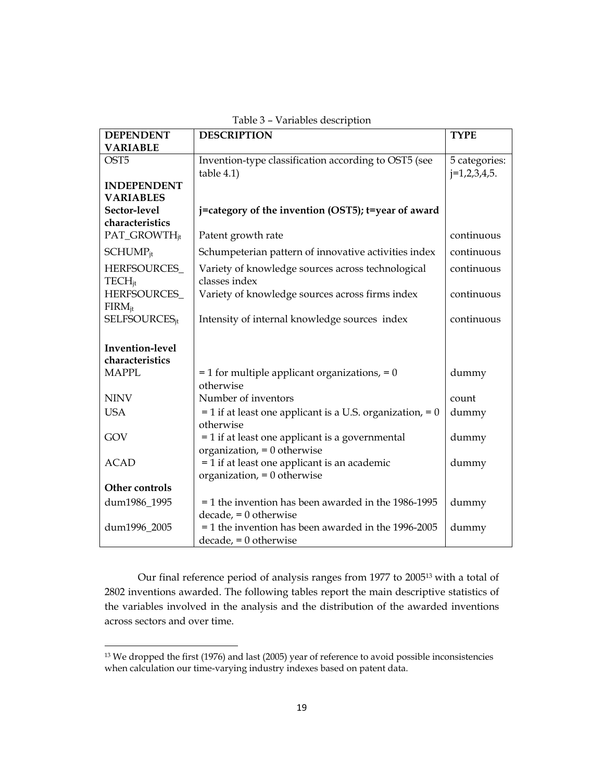| <b>DEPENDENT</b>                | <b>DESCRIPTION</b>                                                               | <b>TYPE</b>    |
|---------------------------------|----------------------------------------------------------------------------------|----------------|
| <b>VARIABLE</b>                 |                                                                                  |                |
| OST <sub>5</sub>                | Invention-type classification according to OST5 (see                             | 5 categories:  |
|                                 | table 4.1)                                                                       | $j=1,2,3,4,5.$ |
| <b>INDEPENDENT</b>              |                                                                                  |                |
| <b>VARIABLES</b>                |                                                                                  |                |
| Sector-level<br>characteristics | j=category of the invention (OST5); t=year of award                              |                |
| PAT_GROWTH <sub>it</sub>        | Patent growth rate                                                               | continuous     |
|                                 |                                                                                  |                |
| $SCHUMP_{it}$                   | Schumpeterian pattern of innovative activities index                             | continuous     |
| HERFSOURCES<br>$TECH_{it}$      | Variety of knowledge sources across technological<br>classes index               | continuous     |
| HERFSOURCES_<br>$FIRM_{it}$     | Variety of knowledge sources across firms index                                  | continuous     |
| SELFSOURCES <sub>it</sub>       | Intensity of internal knowledge sources index                                    | continuous     |
| <b>Invention-level</b>          |                                                                                  |                |
| characteristics                 |                                                                                  |                |
| <b>MAPPL</b>                    | $=$ 1 for multiple applicant organizations, $=$ 0<br>otherwise                   | dummy          |
| <b>NINV</b>                     | Number of inventors                                                              | count          |
| <b>USA</b>                      | $=$ 1 if at least one applicant is a U.S. organization, $=$ 0<br>otherwise       | dummy          |
| GOV                             | = 1 if at least one applicant is a governmental<br>organization, $= 0$ otherwise | dummy          |
| <b>ACAD</b>                     | = 1 if at least one applicant is an academic                                     | dummy          |
|                                 | organization, $= 0$ otherwise                                                    |                |
| Other controls                  |                                                                                  |                |
| dum1986_1995                    | = 1 the invention has been awarded in the 1986-1995                              | dummy          |
|                                 | $decade, = 0$ otherwise                                                          |                |
| dum1996_2005                    | = 1 the invention has been awarded in the 1996-2005                              | dummy          |
|                                 | $decade, = 0$ otherwise                                                          |                |

Table 3 – Variables description

Our final reference period of analysis ranges from 1977 to 200513 with a total of 2802 inventions awarded. The following tables report the main descriptive statistics of the variables involved in the analysis and the distribution of the awarded inventions across sectors and over time.

<sup>&</sup>lt;sup>13</sup> We dropped the first (1976) and last (2005) year of reference to avoid possible inconsistencies when calculation our time-varying industry indexes based on patent data.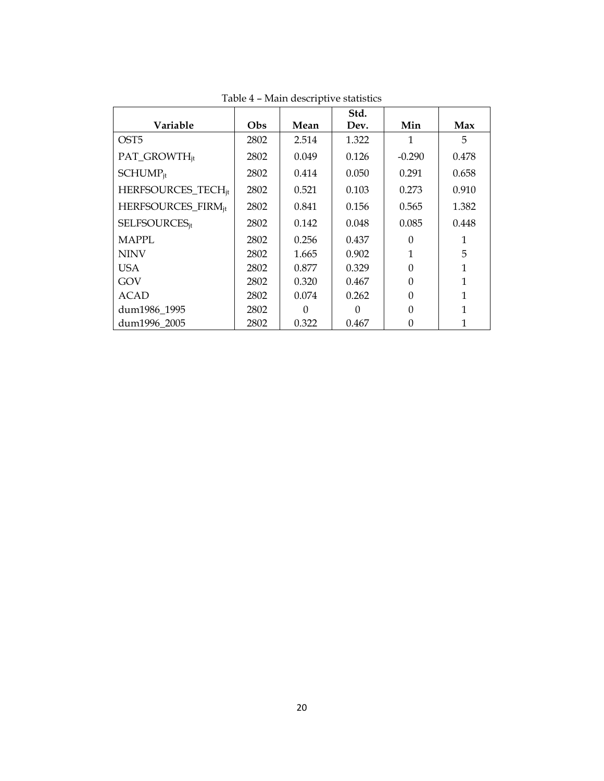|                                |      |          | Std.     |          |              |
|--------------------------------|------|----------|----------|----------|--------------|
| Variable                       | Obs  | Mean     | Dev.     | Min      | Max          |
| OST <sub>5</sub>               | 2802 | 2.514    | 1.322    | 1        | 5            |
| PAT_GROWTH <sub>it</sub>       | 2802 | 0.049    | 0.126    | $-0.290$ | 0.478        |
| $SCHUMP_{it}$                  | 2802 | 0.414    | 0.050    | 0.291    | 0.658        |
| HERFSOURCES_TECH <sub>it</sub> | 2802 | 0.521    | 0.103    | 0.273    | 0.910        |
| HERFSOURCES_FIRMit             | 2802 | 0.841    | 0.156    | 0.565    | 1.382        |
| SELFSOURCES <sub>it</sub>      | 2802 | 0.142    | 0.048    | 0.085    | 0.448        |
| MAPPL                          | 2802 | 0.256    | 0.437    | $\Omega$ | 1            |
| <b>NINV</b>                    | 2802 | 1.665    | 0.902    | 1        | 5            |
| USA.                           | 2802 | 0.877    | 0.329    | $\Omega$ | 1            |
| GOV                            | 2802 | 0.320    | 0.467    | $\Omega$ | 1            |
| ACAD                           | 2802 | 0.074    | 0.262    | $\Omega$ | $\mathbf{1}$ |
| dum1986_1995                   | 2802 | $\Omega$ | $\Omega$ | $\Omega$ | 1            |
| dum1996 2005                   | 2802 | 0.322    | 0.467    | 0        |              |

Table 4 – Main descriptive statistics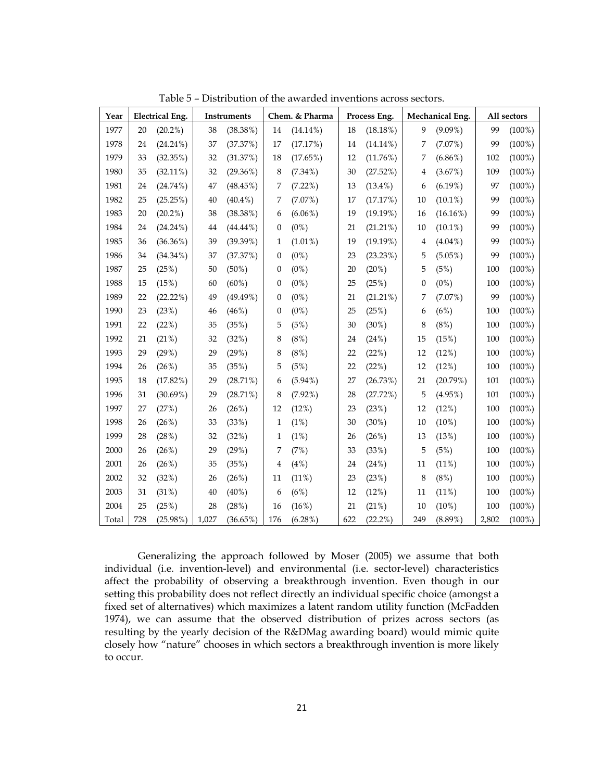| Year  |     | Electrical Eng. |       | <b>Instruments</b> |                  | Chem. & Pharma |     | Process Eng. |     | Mechanical Eng. | All sectors |           |
|-------|-----|-----------------|-------|--------------------|------------------|----------------|-----|--------------|-----|-----------------|-------------|-----------|
| 1977  | 20  | $(20.2\%)$      | 38    | (38.38%)           | 14               | $(14.14\%)$    | 18  | (18.18%)     | 9   | $(9.09\%)$      | 99          | $(100\%)$ |
| 1978  | 24  | $(24.24\%)$     | 37    | (37.37%)           | 17               | (17.17%)       | 14  | $(14.14\%)$  | 7   | $(7.07\%)$      | 99          | $(100\%)$ |
| 1979  | 33  | (32.35%)        | 32    | (31.37%)           | 18               | (17.65%)       | 12  | $(11.76\%)$  | 7   | $(6.86\%)$      | 102         | $(100\%)$ |
| 1980  | 35  | $(32.11\%)$     | 32    | $(29.36\%)$        | 8                | $(7.34\%)$     | 30  | (27.52%)     | 4   | (3.67%)         | 109         | $(100\%)$ |
| 1981  | 24  | $(24.74\%)$     | 47    | (48.45%)           | 7                | $(7.22\%)$     | 13  | $(13.4\%)$   | 6   | $(6.19\%)$      | 97          | $(100\%)$ |
| 1982  | 25  | (25.25%)        | 40    | $(40.4\%)$         | 7                | (7.07%)        | 17  | (17.17%)     | 10  | $(10.1\%)$      | 99          | $(100\%)$ |
| 1983  | 20  | $(20.2\%)$      | 38    | (38.38%)           | 6                | $(6.06\%)$     | 19  | (19.19%)     | 16  | $(16.16\%)$     | 99          | $(100\%)$ |
| 1984  | 24  | $(24.24\%)$     | 44    | $(44.44\%)$        | 0                | (0%)           | 21  | $(21.21\%)$  | 10  | $(10.1\%)$      | 99          | $(100\%)$ |
| 1985  | 36  | $(36.36\%)$     | 39    | (39.39%)           | 1                | $(1.01\%)$     | 19  | (19.19%)     | 4   | $(4.04\%)$      | 99          | $(100\%)$ |
| 1986  | 34  | $(34.34\%)$     | 37    | (37.37%)           | 0                | (0%)           | 23  | (23.23%)     | 5   | $(5.05\%)$      | 99          | $(100\%)$ |
| 1987  | 25  | (25%)           | 50    | $(50\%)$           | 0                | (0%)           | 20  | $(20\%)$     | 5   | (5%)            | 100         | $(100\%)$ |
| 1988  | 15  | (15%)           | 60    | $(60\%)$           | 0                | (0%)           | 25  | (25%)        | 0   | (0%)            | 100         | $(100\%)$ |
| 1989  | 22  | (22.22%)        | 49    | (49.49%)           | 0                | $(0\%)$        | 21  | $(21.21\%)$  | 7   | (7.07%)         | 99          | $(100\%)$ |
| 1990  | 23  | (23%)           | 46    | (46%)              | $\boldsymbol{0}$ | $(0\%)$        | 25  | (25%)        | 6   | (6%)            | 100         | $(100\%)$ |
| 1991  | 22  | (22%)           | 35    | (35%)              | 5                | (5%)           | 30  | $(30\%)$     | 8   | (8%)            | 100         | $(100\%)$ |
| 1992  | 21  | (21%)           | 32    | (32%)              | 8                | (8%)           | 24  | (24%)        | 15  | (15%)           | 100         | $(100\%)$ |
| 1993  | 29  | (29%)           | 29    | (29%)              | 8                | (8%)           | 22  | (22%)        | 12  | (12%)           | 100         | $(100\%)$ |
| 1994  | 26  | (26%)           | 35    | (35%)              | 5                | (5%)           | 22  | (22%)        | 12  | (12%)           | 100         | $(100\%)$ |
| 1995  | 18  | (17.82%)        | 29    | $(28.71\%)$        | 6                | $(5.94\%)$     | 27  | (26.73%)     | 21  | (20.79%)        | 101         | $(100\%)$ |
| 1996  | 31  | $(30.69\%)$     | 29    | $(28.71\%)$        | 8                | $(7.92\%)$     | 28  | (27.72%)     | 5   | $(4.95\%)$      | 101         | $(100\%)$ |
| 1997  | 27  | (27%)           | 26    | (26%)              | 12               | (12%)          | 23  | (23%)        | 12  | (12%)           | 100         | $(100\%)$ |
| 1998  | 26  | (26%)           | 33    | (33%)              | 1                | (1%)           | 30  | $(30\%)$     | 10  | $(10\%)$        | 100         | $(100\%)$ |
| 1999  | 28  | (28%)           | 32    | (32%)              | 1                | (1%)           | 26  | (26%)        | 13  | (13%)           | 100         | $(100\%)$ |
| 2000  | 26  | (26%)           | 29    | (29%)              | 7                | (7%)           | 33  | (33%)        | 5   | (5%)            | 100         | $(100\%)$ |
| 2001  | 26  | (26%)           | 35    | (35%)              | 4                | $(4\%)$        | 24  | (24%)        | 11  | (11%)           | 100         | $(100\%)$ |
| 2002  | 32  | (32%)           | 26    | (26%)              | 11               | (11%)          | 23  | (23%)        | 8   | (8%)            | 100         | $(100\%)$ |
| 2003  | 31  | (31%)           | 40    | $(40\%)$           | 6                | (6%)           | 12  | (12%)        | 11  | (11%)           | 100         | $(100\%)$ |
| 2004  | 25  | (25%)           | 28    | (28%)              | 16               | (16%)          | 21  | (21%)        | 10  | $(10\%)$        | 100         | $(100\%)$ |
| Total | 728 | $(25.98\%)$     | 1,027 | (36.65%)           | 176              | $(6.28\%)$     | 622 | $(22.2\%)$   | 249 | $(8.89\%)$      | 2,802       | $(100\%)$ |

Table 5 – Distribution of the awarded inventions across sectors.

Generalizing the approach followed by Moser (2005) we assume that both individual (i.e. invention-level) and environmental (i.e. sector-level) characteristics affect the probability of observing a breakthrough invention. Even though in our setting this probability does not reflect directly an individual specific choice (amongst a fixed set of alternatives) which maximizes a latent random utility function (McFadden 1974), we can assume that the observed distribution of prizes across sectors (as resulting by the yearly decision of the R&DMag awarding board) would mimic quite closely how "nature" chooses in which sectors a breakthrough invention is more likely to occur.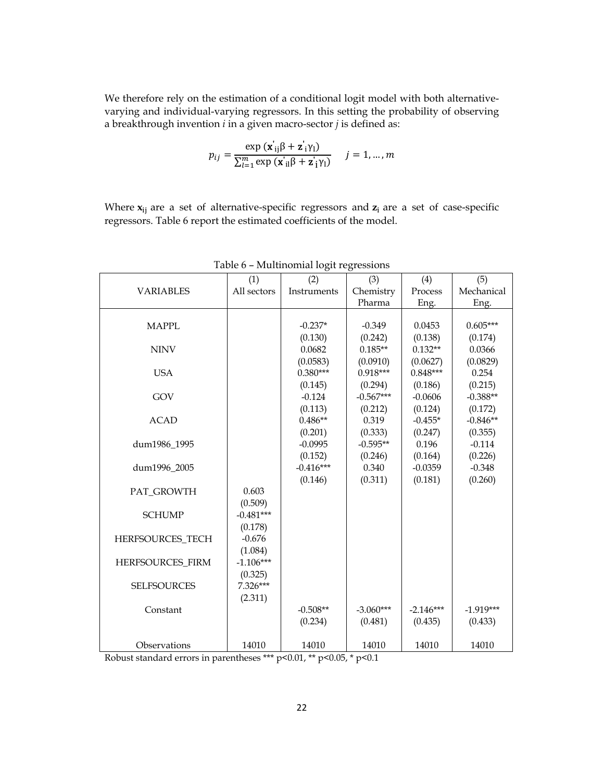We therefore rely on the estimation of a conditional logit model with both alternativevarying and individual-varying regressors. In this setting the probability of observing a breakthrough invention *i* in a given macro-sector *j* is defined as:

$$
p_{ij} = \frac{\exp\left(\mathbf{x}_{ij}\beta + \mathbf{z}_{i}\gamma_{l}\right)}{\sum_{l=1}^{m} \exp\left(\mathbf{x}_{il}\beta + \mathbf{z}_{i}\gamma_{l}\right)} \quad j = 1, ..., m
$$

Where  $x_{ij}$  are a set of alternative-specific regressors and  $z_i$  are a set of case-specific regressors. Table 6 report the estimated coefficients of the model.

|                    | (1)         | (2)         | (3)         | (4)         | (5)         |
|--------------------|-------------|-------------|-------------|-------------|-------------|
| <b>VARIABLES</b>   | All sectors | Instruments | Chemistry   | Process     | Mechanical  |
|                    |             |             | Pharma      | Eng.        | Eng.        |
|                    |             |             |             |             |             |
| MAPPL              |             | $-0.237*$   | $-0.349$    | 0.0453      | $0.605***$  |
|                    |             | (0.130)     | (0.242)     | (0.138)     | (0.174)     |
| <b>NINV</b>        |             | 0.0682      | $0.185**$   | $0.132**$   | 0.0366      |
|                    |             | (0.0583)    | (0.0910)    | (0.0627)    | (0.0829)    |
| <b>USA</b>         |             | $0.380***$  | $0.918***$  | $0.848***$  | 0.254       |
|                    |             | (0.145)     | (0.294)     | (0.186)     | (0.215)     |
| GOV                |             | $-0.124$    | $-0.567***$ | $-0.0606$   | $-0.388**$  |
|                    |             | (0.113)     | (0.212)     | (0.124)     | (0.172)     |
| <b>ACAD</b>        |             | $0.486**$   | 0.319       | $-0.455*$   | $-0.846**$  |
|                    |             | (0.201)     | (0.333)     | (0.247)     | (0.355)     |
| dum1986_1995       |             | $-0.0995$   | $-0.595**$  | 0.196       | $-0.114$    |
|                    |             | (0.152)     | (0.246)     | (0.164)     | (0.226)     |
| dum1996 2005       |             | $-0.416***$ | 0.340       | $-0.0359$   | $-0.348$    |
|                    |             | (0.146)     | (0.311)     | (0.181)     | (0.260)     |
| PAT_GROWTH         | 0.603       |             |             |             |             |
|                    | (0.509)     |             |             |             |             |
| <b>SCHUMP</b>      | $-0.481***$ |             |             |             |             |
|                    | (0.178)     |             |             |             |             |
| HERFSOURCES_TECH   | $-0.676$    |             |             |             |             |
|                    | (1.084)     |             |             |             |             |
| HERFSOURCES_FIRM   | $-1.106***$ |             |             |             |             |
|                    | (0.325)     |             |             |             |             |
| <b>SELFSOURCES</b> | 7.326***    |             |             |             |             |
|                    | (2.311)     |             |             |             |             |
| Constant           |             | $-0.508**$  | $-3.060***$ | $-2.146***$ | $-1.919***$ |
|                    |             | (0.234)     | (0.481)     | (0.435)     | (0.433)     |
|                    |             |             |             |             |             |
| Observations       | 14010       | 14010       | 14010       | 14010       | 14010       |

Table 6 – Multinomial logit regressions

Robust standard errors in parentheses \*\*\* p<0.01, \*\* p<0.05, \* p<0.1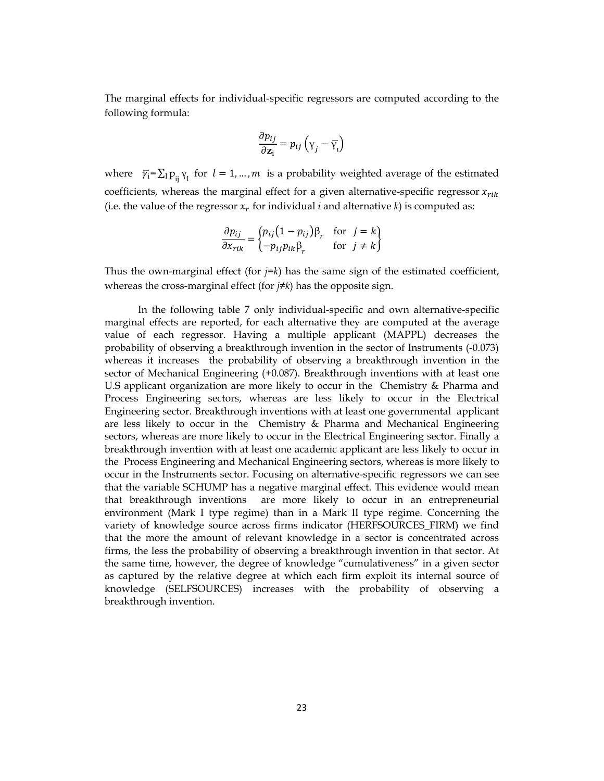The marginal effects for individual-specific regressors are computed according to the following formula:

$$
\frac{\partial p_{ij}}{\partial z_i} = p_{ij} \left( \mathbf{v}_j - \overline{\mathbf{v}}_i \right)
$$

where  $\bar{y}_i = \sum_l p_{ij} y_l$  for  $l = 1, ..., m$  is a probability weighted average of the estimated coefficients, whereas the marginal effect for a given alternative-specific regressor  $x_{rik}$ (i.e. the value of the regressor  $x_r$  for individual *i* and alternative *k*) is computed as:

$$
\frac{\partial p_{ij}}{\partial x_{rik}} = \begin{cases} p_{ij} (1 - p_{ij}) \beta_r & \text{for } j = k \\ -p_{ij} p_{ik} \beta_r & \text{for } j \neq k \end{cases}
$$

Thus the own-marginal effect (for  $j=k$ ) has the same sign of the estimated coefficient, whereas the cross-marginal effect (for *j≠k*) has the opposite sign.

In the following table 7 only individual-specific and own alternative-specific marginal effects are reported, for each alternative they are computed at the average value of each regressor. Having a multiple applicant (MAPPL) decreases the probability of observing a breakthrough invention in the sector of Instruments (-0.073) whereas it increases the probability of observing a breakthrough invention in the sector of Mechanical Engineering (+0.087). Breakthrough inventions with at least one U.S applicant organization are more likely to occur in the Chemistry & Pharma and Process Engineering sectors, whereas are less likely to occur in the Electrical Engineering sector. Breakthrough inventions with at least one governmental applicant are less likely to occur in the Chemistry & Pharma and Mechanical Engineering sectors, whereas are more likely to occur in the Electrical Engineering sector. Finally a breakthrough invention with at least one academic applicant are less likely to occur in the Process Engineering and Mechanical Engineering sectors, whereas is more likely to occur in the Instruments sector. Focusing on alternative-specific regressors we can see that the variable SCHUMP has a negative marginal effect. This evidence would mean that breakthrough inventions are more likely to occur in an entrepreneurial environment (Mark I type regime) than in a Mark II type regime. Concerning the variety of knowledge source across firms indicator (HERFSOURCES\_FIRM) we find that the more the amount of relevant knowledge in a sector is concentrated across firms, the less the probability of observing a breakthrough invention in that sector. At the same time, however, the degree of knowledge "cumulativeness" in a given sector as captured by the relative degree at which each firm exploit its internal source of knowledge (SELFSOURCES) increases with the probability of observing a breakthrough invention.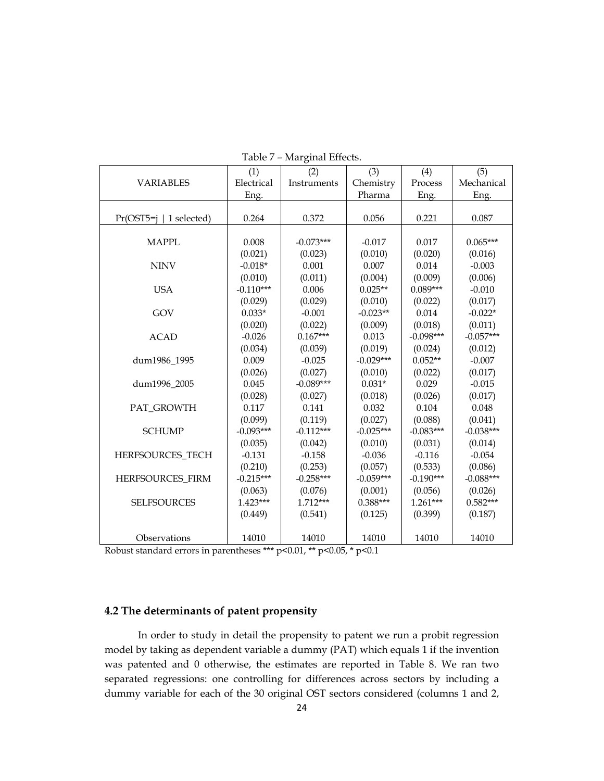|                           | (1)         | (2)         | (3)         | (4)         | (5)         |
|---------------------------|-------------|-------------|-------------|-------------|-------------|
| <b>VARIABLES</b>          | Electrical  | Instruments | Chemistry   | Process     | Mechanical  |
|                           | Eng.        |             | Pharma      | Eng.        | Eng.        |
|                           |             |             |             |             |             |
| $Pr(OST5=i   1 selected)$ | 0.264       | 0.372       | 0.056       | 0.221       | 0.087       |
|                           |             |             |             |             |             |
| <b>MAPPL</b>              | 0.008       | $-0.073***$ | $-0.017$    | 0.017       | $0.065***$  |
|                           | (0.021)     | (0.023)     | (0.010)     | (0.020)     | (0.016)     |
| <b>NINV</b>               | $-0.018*$   | 0.001       | 0.007       | 0.014       | $-0.003$    |
|                           | (0.010)     | (0.011)     | (0.004)     | (0.009)     | (0.006)     |
| <b>USA</b>                | $-0.110***$ | 0.006       | $0.025**$   | $0.089***$  | $-0.010$    |
|                           | (0.029)     | (0.029)     | (0.010)     | (0.022)     | (0.017)     |
| GOV                       | $0.033*$    | $-0.001$    | $-0.023**$  | 0.014       | $-0.022*$   |
|                           | (0.020)     | (0.022)     | (0.009)     | (0.018)     | (0.011)     |
| <b>ACAD</b>               | $-0.026$    | $0.167***$  | 0.013       | $-0.098***$ | $-0.057***$ |
|                           | (0.034)     | (0.039)     | (0.019)     | (0.024)     | (0.012)     |
| dum1986 1995              | 0.009       | $-0.025$    | $-0.029***$ | $0.052**$   | $-0.007$    |
|                           | (0.026)     | (0.027)     | (0.010)     | (0.022)     | (0.017)     |
| dum1996 2005              | 0.045       | $-0.089***$ | $0.031*$    | 0.029       | $-0.015$    |
|                           | (0.028)     | (0.027)     | (0.018)     | (0.026)     | (0.017)     |
| PAT GROWTH                | 0.117       | 0.141       | 0.032       | 0.104       | 0.048       |
|                           | (0.099)     | (0.119)     | (0.027)     | (0.088)     | (0.041)     |
| <b>SCHUMP</b>             | $-0.093***$ | $-0.112***$ | $-0.025***$ | $-0.083***$ | $-0.038***$ |
|                           | (0.035)     | (0.042)     | (0.010)     | (0.031)     | (0.014)     |
| HERFSOURCES_TECH          | $-0.131$    | $-0.158$    | $-0.036$    | $-0.116$    | $-0.054$    |
|                           | (0.210)     | (0.253)     | (0.057)     | (0.533)     | (0.086)     |
| HERFSOURCES_FIRM          | $-0.215***$ | $-0.258***$ | $-0.059***$ | $-0.190***$ | $-0.088***$ |
|                           | (0.063)     | (0.076)     | (0.001)     | (0.056)     | (0.026)     |
| <b>SELFSOURCES</b>        | $1.423***$  | $1.712***$  | $0.388***$  | $1.261***$  | $0.582***$  |
|                           | (0.449)     | (0.541)     | (0.125)     | (0.399)     | (0.187)     |
|                           |             |             |             |             |             |
| Observations              | 14010       | 14010       | 14010       | 14010       | 14010       |

Table 7 – Marginal Effects.

Robust standard errors in parentheses \*\*\* p<0.01, \*\* p<0.05, \* p<0.1

# **4.2 The determinants of patent propensity**

In order to study in detail the propensity to patent we run a probit regression model by taking as dependent variable a dummy (PAT) which equals 1 if the invention was patented and 0 otherwise, the estimates are reported in Table 8. We ran two separated regressions: one controlling for differences across sectors by including a dummy variable for each of the 30 original OST sectors considered (columns 1 and 2,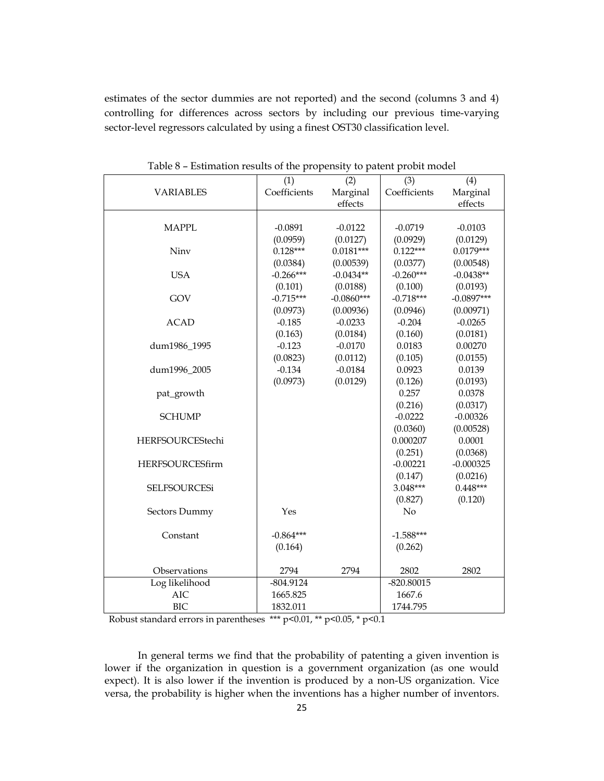estimates of the sector dummies are not reported) and the second (columns 3 and 4) controlling for differences across sectors by including our previous time-varying sector-level regressors calculated by using a finest OST30 classification level.

|                     | (1)          | (2)          | (3)          | (4)          |
|---------------------|--------------|--------------|--------------|--------------|
| <b>VARIABLES</b>    | Coefficients | Marginal     | Coefficients | Marginal     |
|                     |              | effects      |              | effects      |
|                     |              |              |              |              |
| <b>MAPPL</b>        | $-0.0891$    | $-0.0122$    | $-0.0719$    | $-0.0103$    |
|                     | (0.0959)     | (0.0127)     | (0.0929)     | (0.0129)     |
| Ninv                | $0.128***$   | $0.0181***$  | $0.122***$   | $0.0179***$  |
|                     | (0.0384)     | (0.00539)    | (0.0377)     | (0.00548)    |
| <b>USA</b>          | $-0.266***$  | $-0.0434**$  | $-0.260***$  | $-0.0438**$  |
|                     | (0.101)      | (0.0188)     | (0.100)      | (0.0193)     |
| GOV                 | $-0.715***$  | $-0.0860***$ | $-0.718***$  | $-0.0897***$ |
|                     | (0.0973)     | (0.00936)    | (0.0946)     | (0.00971)    |
| <b>ACAD</b>         | $-0.185$     | $-0.0233$    | $-0.204$     | $-0.0265$    |
|                     | (0.163)      | (0.0184)     | (0.160)      | (0.0181)     |
| dum1986_1995        | $-0.123$     | $-0.0170$    | 0.0183       | 0.00270      |
|                     | (0.0823)     | (0.0112)     | (0.105)      | (0.0155)     |
| dum1996_2005        | $-0.134$     | $-0.0184$    | 0.0923       | 0.0139       |
|                     | (0.0973)     | (0.0129)     | (0.126)      | (0.0193)     |
| pat_growth          |              |              | 0.257        | 0.0378       |
|                     |              |              | (0.216)      | (0.0317)     |
| <b>SCHUMP</b>       |              |              | $-0.0222$    | $-0.00326$   |
|                     |              |              | (0.0360)     | (0.00528)    |
| HERFSOURCEStechi    |              |              | 0.000207     | 0.0001       |
|                     |              |              | (0.251)      | (0.0368)     |
| HERFSOURCESfirm     |              |              | $-0.00221$   | $-0.000325$  |
|                     |              |              | (0.147)      | (0.0216)     |
| <b>SELFSOURCESi</b> |              |              | $3.048***$   | $0.448***$   |
|                     |              |              | (0.827)      | (0.120)      |
| Sectors Dummy       | Yes          |              | No           |              |
|                     |              |              |              |              |
| Constant            | $-0.864***$  |              | $-1.588***$  |              |
|                     | (0.164)      |              | (0.262)      |              |
|                     |              |              |              |              |
| Observations        | 2794         | 2794         | 2802         | 2802         |
| Log likelihood      | $-804.9124$  |              | $-820.80015$ |              |
| <b>AIC</b>          | 1665.825     |              | 1667.6       |              |
| <b>BIC</b>          | 1832.011     |              | 1744.795     |              |

Table 8 – Estimation results of the propensity to patent probit model

Robust standard errors in parentheses \*\*\* p<0.01, \*\* p<0.05, \* p<0.1

In general terms we find that the probability of patenting a given invention is lower if the organization in question is a government organization (as one would expect). It is also lower if the invention is produced by a non-US organization. Vice versa, the probability is higher when the inventions has a higher number of inventors.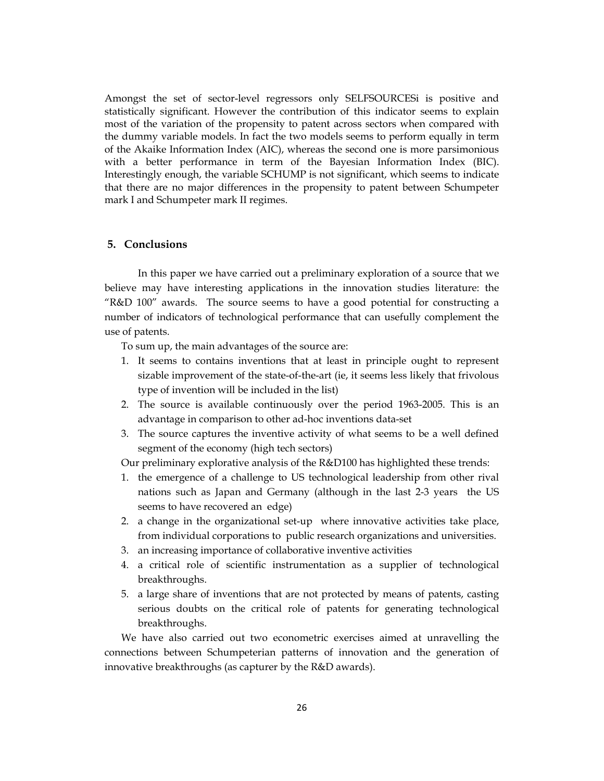Amongst the set of sector-level regressors only SELFSOURCESi is positive and statistically significant. However the contribution of this indicator seems to explain most of the variation of the propensity to patent across sectors when compared with the dummy variable models. In fact the two models seems to perform equally in term of the Akaike Information Index (AIC), whereas the second one is more parsimonious with a better performance in term of the Bayesian Information Index (BIC). Interestingly enough, the variable SCHUMP is not significant, which seems to indicate that there are no major differences in the propensity to patent between Schumpeter mark I and Schumpeter mark II regimes.

### **5. Conclusions**

In this paper we have carried out a preliminary exploration of a source that we believe may have interesting applications in the innovation studies literature: the "R&D 100" awards. The source seems to have a good potential for constructing a number of indicators of technological performance that can usefully complement the use of patents.

To sum up, the main advantages of the source are:

- 1. It seems to contains inventions that at least in principle ought to represent sizable improvement of the state-of-the-art (ie, it seems less likely that frivolous type of invention will be included in the list)
- 2. The source is available continuously over the period 1963-2005. This is an advantage in comparison to other ad-hoc inventions data-set
- 3. The source captures the inventive activity of what seems to be a well defined segment of the economy (high tech sectors)

Our preliminary explorative analysis of the R&D100 has highlighted these trends:

- 1. the emergence of a challenge to US technological leadership from other rival nations such as Japan and Germany (although in the last 2-3 years the US seems to have recovered an edge)
- 2. a change in the organizational set-up where innovative activities take place, from individual corporations to public research organizations and universities.
- 3. an increasing importance of collaborative inventive activities
- 4. a critical role of scientific instrumentation as a supplier of technological breakthroughs.
- 5. a large share of inventions that are not protected by means of patents, casting serious doubts on the critical role of patents for generating technological breakthroughs.

We have also carried out two econometric exercises aimed at unravelling the connections between Schumpeterian patterns of innovation and the generation of innovative breakthroughs (as capturer by the R&D awards).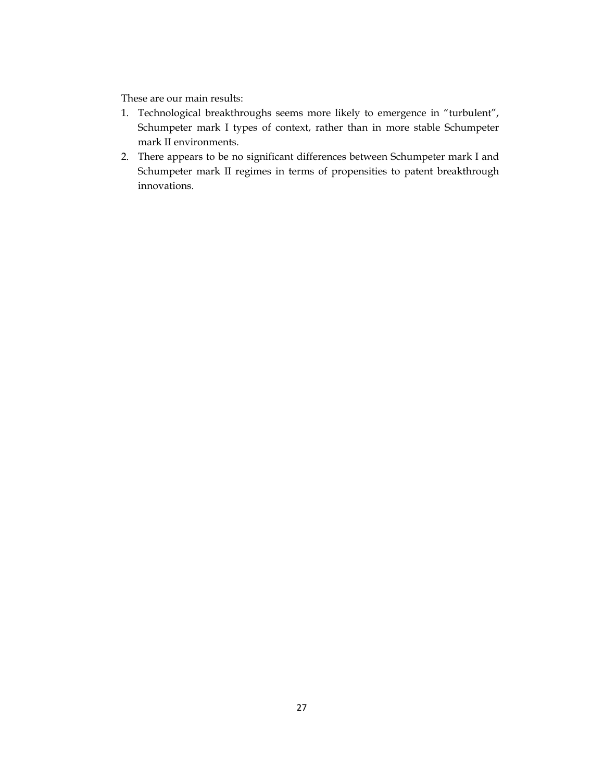These are our main results:

- 1. Technological breakthroughs seems more likely to emergence in "turbulent", Schumpeter mark I types of context, rather than in more stable Schumpeter mark II environments.
- 2. There appears to be no significant differences between Schumpeter mark I and Schumpeter mark II regimes in terms of propensities to patent breakthrough innovations.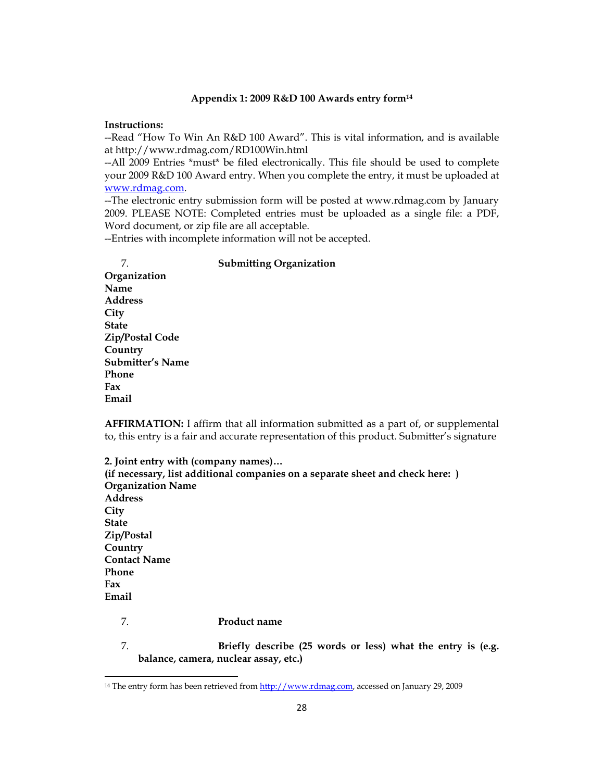# **Appendix 1: 2009 R&D 100 Awards entry form14**

### **Instructions:**

--Read "How To Win An R&D 100 Award". This is vital information, and is available at http://www.rdmag.com/RD100Win.html

--All 2009 Entries \*must\* be filed electronically. This file should be used to complete your 2009 R&D 100 Award entry. When you complete the entry, it must be uploaded at www.rdmag.com.

--The electronic entry submission form will be posted at www.rdmag.com by January 2009. PLEASE NOTE: Completed entries must be uploaded as a single file: a PDF, Word document, or zip file are all acceptable.

--Entries with incomplete information will not be accepted.

7. **Submitting Organization Organization Name Address City State Zip/Postal Code Country Submitter's Name Phone Fax Email** 

**AFFIRMATION:** I affirm that all information submitted as a part of, or supplemental to, this entry is a fair and accurate representation of this product. Submitter's signature

**2. Joint entry with (company names)… (if necessary, list additional companies on a separate sheet and check here: ) Organization Name Address City State Zip/Postal Country Contact Name Phone Fax Email** 

7. **Product name** 

7. **Briefly describe (25 words or less) what the entry is (e.g. balance, camera, nuclear assay, etc.)** 

<sup>&</sup>lt;sup>14</sup> The entry form has been retrieved from http://www.rdmag.com, accessed on January 29, 2009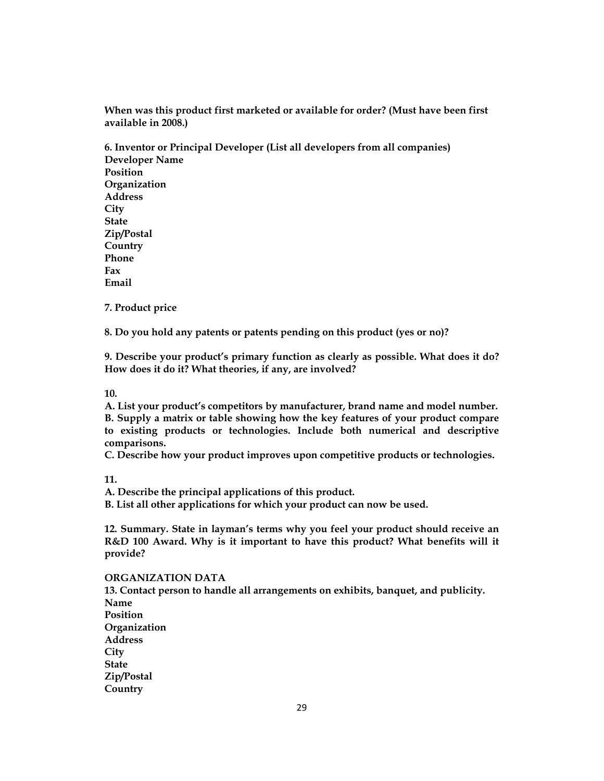**When was this product first marketed or available for order? (Must have been first available in 2008.)** 

**6. Inventor or Principal Developer (List all developers from all companies) Developer Name Position Organization Address City State Zip/Postal Country Phone Fax Email** 

**7. Product price** 

**8. Do you hold any patents or patents pending on this product (yes or no)?** 

**9. Describe your product's primary function as clearly as possible. What does it do? How does it do it? What theories, if any, are involved?** 

**10.** 

**A. List your product's competitors by manufacturer, brand name and model number. B. Supply a matrix or table showing how the key features of your product compare to existing products or technologies. Include both numerical and descriptive comparisons.** 

**C. Describe how your product improves upon competitive products or technologies.** 

**11.** 

**A. Describe the principal applications of this product.** 

**B. List all other applications for which your product can now be used.** 

**12. Summary. State in layman's terms why you feel your product should receive an R&D 100 Award. Why is it important to have this product? What benefits will it provide?** 

### **ORGANIZATION DATA**

**13. Contact person to handle all arrangements on exhibits, banquet, and publicity. Name Position Organization Address City State Zip/Postal Country**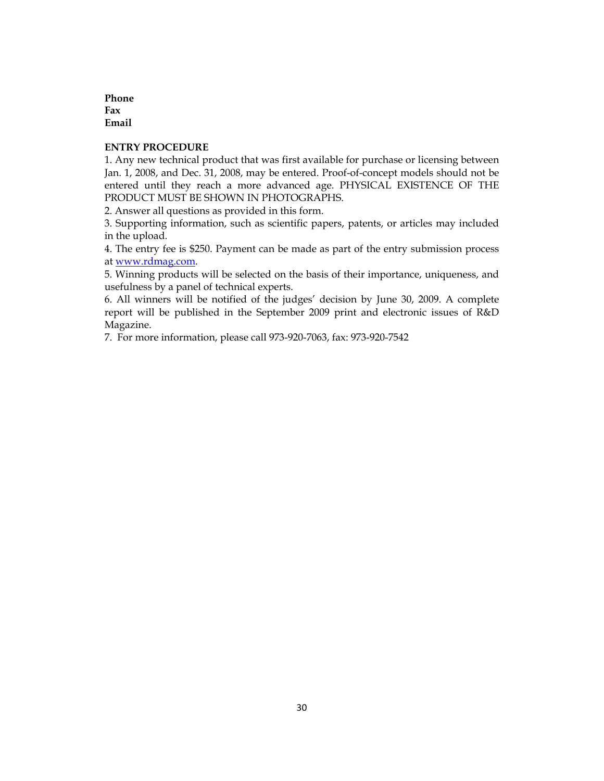**Phone Fax Email** 

### **ENTRY PROCEDURE**

1. Any new technical product that was first available for purchase or licensing between Jan. 1, 2008, and Dec. 31, 2008, may be entered. Proof-of-concept models should not be entered until they reach a more advanced age. PHYSICAL EXISTENCE OF THE PRODUCT MUST BE SHOWN IN PHOTOGRAPHS.

2. Answer all questions as provided in this form.

3. Supporting information, such as scientific papers, patents, or articles may included in the upload.

4. The entry fee is \$250. Payment can be made as part of the entry submission process at www.rdmag.com.

5. Winning products will be selected on the basis of their importance, uniqueness, and usefulness by a panel of technical experts.

6. All winners will be notified of the judges' decision by June 30, 2009. A complete report will be published in the September 2009 print and electronic issues of R&D Magazine.

7. For more information, please call 973-920-7063, fax: 973-920-7542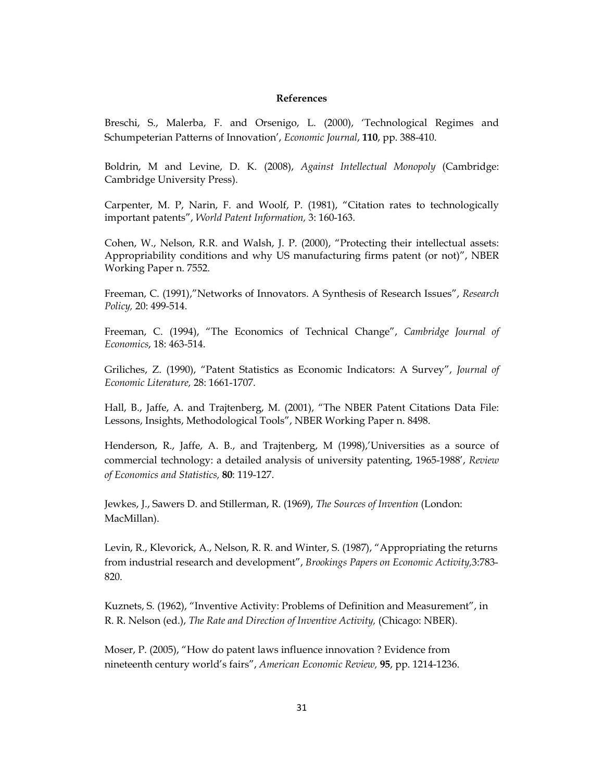#### **References**

Breschi, S., Malerba, F. and Orsenigo, L. (2000), 'Technological Regimes and Schumpeterian Patterns of Innovation', *Economic Journal*, **110**, pp. 388-410.

Boldrin, M and Levine, D. K. (2008), *Against Intellectual Monopoly* (Cambridge: Cambridge University Press).

Carpenter, M. P, Narin, F. and Woolf, P. (1981), "Citation rates to technologically important patents", *World Patent Information,* 3: 160-163.

Cohen, W., Nelson, R.R. and Walsh, J. P. (2000), "Protecting their intellectual assets: Appropriability conditions and why US manufacturing firms patent (or not)", NBER Working Paper n. 7552.

Freeman, C. (1991),"Networks of Innovators. A Synthesis of Research Issues", *Research Policy,* 20: 499-514.

Freeman, C. (1994), "The Economics of Technical Change", *Cambridge Journal of Economics*, 18: 463-514.

Griliches, Z. (1990), "Patent Statistics as Economic Indicators: A Survey", *Journal of Economic Literature,* 28: 1661-1707.

Hall, B., Jaffe, A. and Trajtenberg, M. (2001), "The NBER Patent Citations Data File: Lessons, Insights, Methodological Tools", NBER Working Paper n. 8498.

Henderson, R., Jaffe, A. B., and Trajtenberg, M (1998),'Universities as a source of commercial technology: a detailed analysis of university patenting, 1965-1988', *Review of Economics and Statistics,* **80**: 119-127.

Jewkes, J., Sawers D. and Stillerman, R. (1969), *The Sources of Invention* (London: MacMillan).

Levin, R., Klevorick, A., Nelson, R. R. and Winter, S. (1987), "Appropriating the returns from industrial research and development", *Brookings Papers on Economic Activity,*3:783- 820.

Kuznets, S. (1962), "Inventive Activity: Problems of Definition and Measurement", in R. R. Nelson (ed.), *The Rate and Direction of Inventive Activity,* (Chicago: NBER).

Moser, P. (2005), "How do patent laws influence innovation ? Evidence from nineteenth century world's fairs", *American Economic Review,* **95**, pp. 1214-1236.